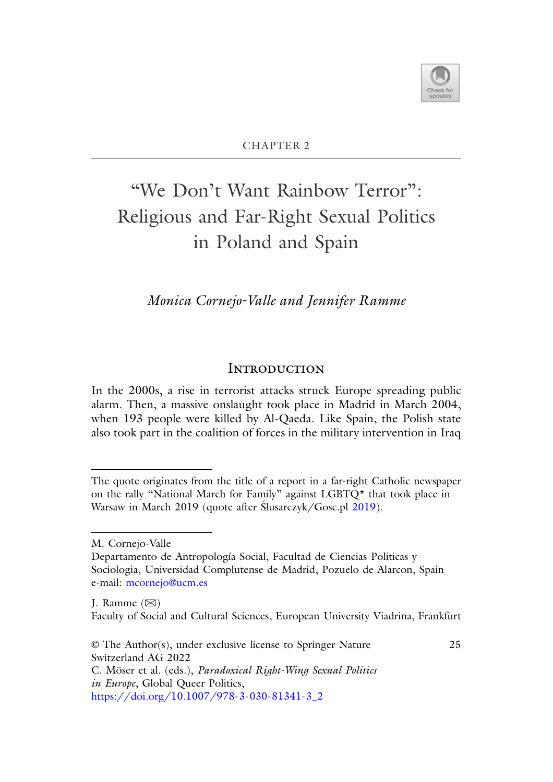

# "We Don't Want Rainbow Terror": Religious and Far-Right Sexual Politics in Poland and Spain

*Monica Cornejo-Valle and Jennifer Ramme*

## **INTRODUCTION**

In the 2000s, a rise in terrorist attacks struck Europe spreading public alarm. Then, a massive onslaught took place in Madrid in March 2004, when 193 people were killed by Al-Qaeda. Like Spain, the Polish state also took part in the coalition of forces in the military intervention in Iraq

The quote originates from the title of a report in a far-right Catholic newspaper on the rally "National March for Family" against LGBTQ\* that took place in Warsaw in March 2019 (quote after Ślusarczyk/Gosc.pl 2019).

M. Cornejo-Valle

Departamento de Antropología Social, Facultad de Ciencias Politicas y Sociologia, Universidad Complutense de Madrid, Pozuelo de Alarcon, Spain e-mail: mcornejo@ucm.es

J. Ramme  $(\boxtimes)$ Faculty of Social and Cultural Sciences, European University Viadrina, Frankfurt

<sup>©</sup> The Author(s), under exclusive license to Springer Nature Switzerland AG 2022

C. Möser et al. (eds.), *Paradoxical Right-Wing Sexual Politics in Europe*, Global Queer Politics, https://doi.org/10.1007/978-3-030-81341-3\_2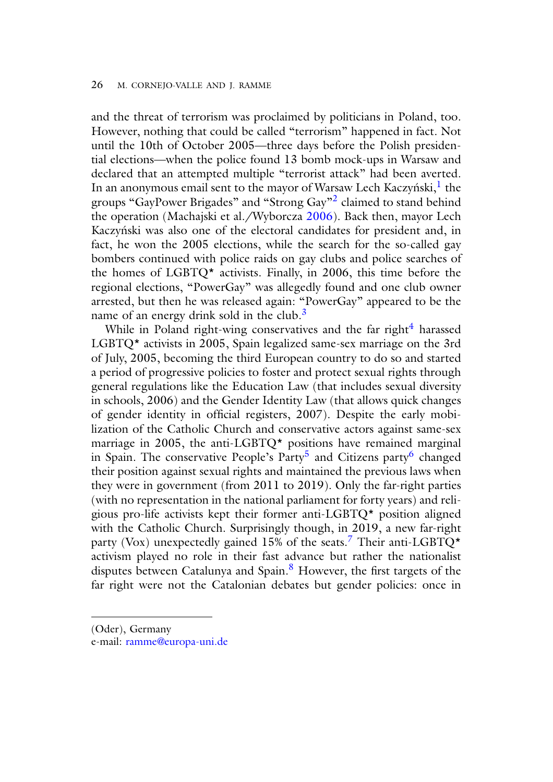and the threat of terrorism was proclaimed by politicians in Poland, too. However, nothing that could be called "terrorism" happened in fact. Not until the 10th of October 2005—three days before the Polish presidential elections—when the police found 13 bomb mock-ups in Warsaw and declared that an attempted multiple "terrorist attack" had been averted. In an anonymous email sent to the mayor of Warsaw Lech Kaczyński, the groups "GayPower Brigades" and "Strong Gay"<sup>2</sup> claimed to stand behind the operation (Machajski et al./Wyborcza 2006). Back then, mayor Lech Kaczyński was also one of the electoral candidates for president and, in fact, he won the 2005 elections, while the search for the so-called gay bombers continued with police raids on gay clubs and police searches of the homes of LGBTQ\* activists. Finally, in 2006, this time before the regional elections, "PowerGay" was allegedly found and one club owner arrested, but then he was released again: "PowerGay" appeared to be the name of an energy drink sold in the club. $3$ 

While in Poland right-wing conservatives and the far right $4$  harassed LGBTQ\* activists in 2005, Spain legalized same-sex marriage on the 3rd of July, 2005, becoming the third European country to do so and started a period of progressive policies to foster and protect sexual rights through general regulations like the Education Law (that includes sexual diversity in schools, 2006) and the Gender Identity Law (that allows quick changes of gender identity in official registers, 2007). Despite the early mobilization of the Catholic Church and conservative actors against same-sex marriage in 2005, the anti-LGBTQ\* positions have remained marginal in Spain. The conservative People's Party<sup>5</sup> and Citizens party<sup>6</sup> changed their position against sexual rights and maintained the previous laws when they were in government (from 2011 to 2019). Only the far-right parties (with no representation in the national parliament for forty years) and religious pro-life activists kept their former anti-LGBTQ\* position aligned with the Catholic Church. Surprisingly though, in 2019, a new far-right party (Vox) unexpectedly gained 15% of the seats.<sup>7</sup> Their anti-LGBTQ<sup>\*</sup> activism played no role in their fast advance but rather the nationalist disputes between Catalunya and Spain.<sup>8</sup> However, the first targets of the far right were not the Catalonian debates but gender policies: once in

<sup>(</sup>Oder), Germany

e-mail: ramme@europa-uni.de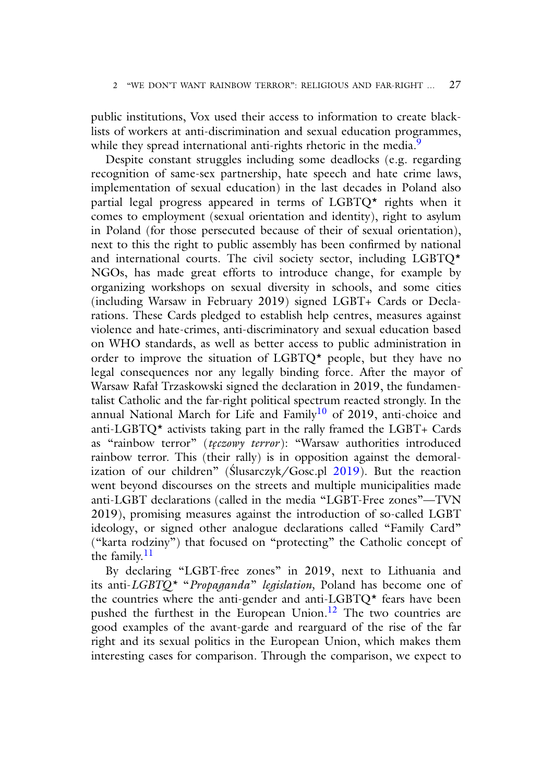public institutions, Vox used their access to information to create blacklists of workers at anti-discrimination and sexual education programmes, while they spread international anti-rights rhetoric in the media.<sup>9</sup>

Despite constant struggles including some deadlocks (e.g. regarding recognition of same-sex partnership, hate speech and hate crime laws, implementation of sexual education) in the last decades in Poland also partial legal progress appeared in terms of LGBTQ\* rights when it comes to employment (sexual orientation and identity), right to asylum in Poland (for those persecuted because of their of sexual orientation), next to this the right to public assembly has been confirmed by national and international courts. The civil society sector, including LGBTQ\* NGOs, has made great efforts to introduce change, for example by organizing workshops on sexual diversity in schools, and some cities (including Warsaw in February 2019) signed LGBT+ Cards or Declarations. These Cards pledged to establish help centres, measures against violence and hate-crimes, anti-discriminatory and sexual education based on WHO standards, as well as better access to public administration in order to improve the situation of LGBTQ\* people, but they have no legal consequences nor any legally binding force. After the mayor of Warsaw Rafał Trzaskowski signed the declaration in 2019, the fundamentalist Catholic and the far-right political spectrum reacted strongly. In the annual National March for Life and Family<sup>10</sup> of 2019, anti-choice and anti-LGBTQ\* activists taking part in the rally framed the LGBT+ Cards as "rainbow terror" (*tęczowy terror*): "Warsaw authorities introduced rainbow terror. This (their rally) is in opposition against the demoralization of our children" (Slusarczyk/Gosc.pl  $2019$ ). But the reaction went beyond discourses on the streets and multiple municipalities made anti-LGBT declarations (called in the media "LGBT-Free zones"—TVN 2019), promising measures against the introduction of so-called LGBT ideology, or signed other analogue declarations called "Family Card" ("karta rodziny") that focused on "protecting" the Catholic concept of the family. $^{11}$ 

By declaring "LGBT-free zones" in 2019, next to Lithuania and its anti-*LGBTQ\** "*Propaganda*" *legislation,* Poland has become one of the countries where the anti-gender and anti-LGBTQ\* fears have been pushed the furthest in the European Union.<sup>12</sup> The two countries are good examples of the avant-garde and rearguard of the rise of the far right and its sexual politics in the European Union, which makes them interesting cases for comparison. Through the comparison, we expect to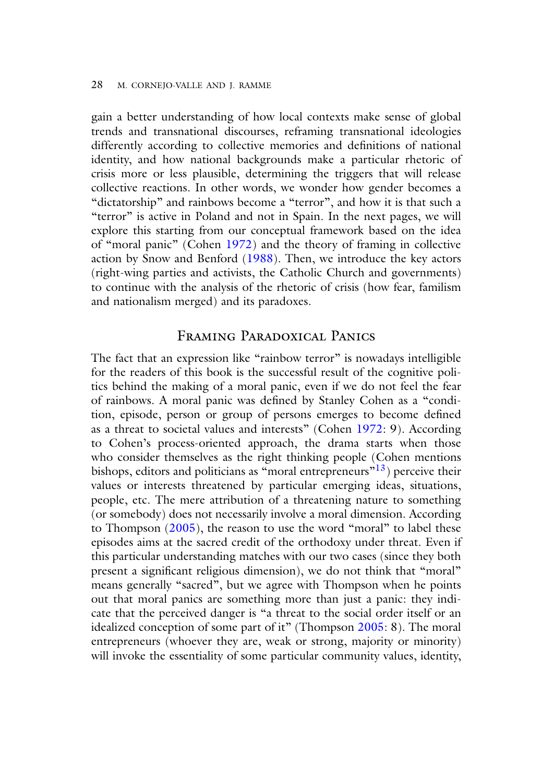gain a better understanding of how local contexts make sense of global trends and transnational discourses, reframing transnational ideologies differently according to collective memories and definitions of national identity, and how national backgrounds make a particular rhetoric of crisis more or less plausible, determining the triggers that will release collective reactions. In other words, we wonder how gender becomes a "dictatorship" and rainbows become a "terror", and how it is that such a "terror" is active in Poland and not in Spain. In the next pages, we will explore this starting from our conceptual framework based on the idea of "moral panic" (Cohen 1972) and the theory of framing in collective action by Snow and Benford (1988). Then, we introduce the key actors (right-wing parties and activists, the Catholic Church and governments) to continue with the analysis of the rhetoric of crisis (how fear, familism and nationalism merged) and its paradoxes.

#### Framing Paradoxical Panics

The fact that an expression like "rainbow terror" is nowadays intelligible for the readers of this book is the successful result of the cognitive politics behind the making of a moral panic, even if we do not feel the fear of rainbows. A moral panic was defined by Stanley Cohen as a "condition, episode, person or group of persons emerges to become defined as a threat to societal values and interests" (Cohen 1972: 9). According to Cohen's process-oriented approach, the drama starts when those who consider themselves as the right thinking people (Cohen mentions bishops, editors and politicians as "moral entrepreneurs"<sup>13</sup>) perceive their values or interests threatened by particular emerging ideas, situations, people, etc. The mere attribution of a threatening nature to something (or somebody) does not necessarily involve a moral dimension. According to Thompson (2005), the reason to use the word "moral" to label these episodes aims at the sacred credit of the orthodoxy under threat. Even if this particular understanding matches with our two cases (since they both present a significant religious dimension), we do not think that "moral" means generally "sacred", but we agree with Thompson when he points out that moral panics are something more than just a panic: they indicate that the perceived danger is "a threat to the social order itself or an idealized conception of some part of it" (Thompson 2005: 8). The moral entrepreneurs (whoever they are, weak or strong, majority or minority) will invoke the essentiality of some particular community values, identity,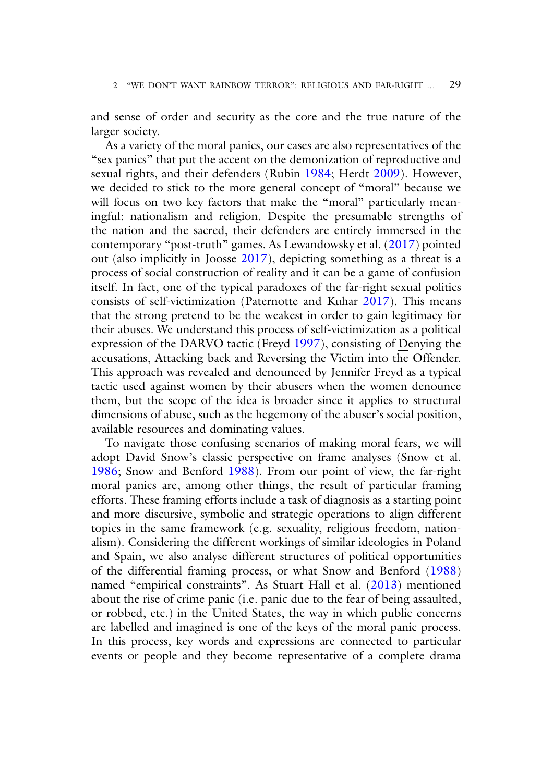and sense of order and security as the core and the true nature of the larger society.

As a variety of the moral panics, our cases are also representatives of the "sex panics" that put the accent on the demonization of reproductive and sexual rights, and their defenders (Rubin 1984; Herdt 2009). However, we decided to stick to the more general concept of "moral" because we will focus on two key factors that make the "moral" particularly meaningful: nationalism and religion. Despite the presumable strengths of the nation and the sacred, their defenders are entirely immersed in the contemporary "post-truth" games. As Lewandowsky et al. (2017) pointed out (also implicitly in Joosse 2017), depicting something as a threat is a process of social construction of reality and it can be a game of confusion itself. In fact, one of the typical paradoxes of the far-right sexual politics consists of self-victimization (Paternotte and Kuhar 2017). This means that the strong pretend to be the weakest in order to gain legitimacy for their abuses. We understand this process of self-victimization as a political expression of the DARVO tactic (Freyd 1997), consisting of Denying the accusations, Attacking back and Reversing the Victim into the Offender. This approach was revealed and denounced by Jennifer Freyd as a typical tactic used against women by their abusers when the women denounce them, but the scope of the idea is broader since it applies to structural dimensions of abuse, such as the hegemony of the abuser's social position, available resources and dominating values.

To navigate those confusing scenarios of making moral fears, we will adopt David Snow's classic perspective on frame analyses (Snow et al. 1986; Snow and Benford 1988). From our point of view, the far-right moral panics are, among other things, the result of particular framing efforts. These framing efforts include a task of diagnosis as a starting point and more discursive, symbolic and strategic operations to align different topics in the same framework (e.g. sexuality, religious freedom, nationalism). Considering the different workings of similar ideologies in Poland and Spain, we also analyse different structures of political opportunities of the differential framing process, or what Snow and Benford (1988) named "empirical constraints". As Stuart Hall et al. (2013) mentioned about the rise of crime panic (i.e. panic due to the fear of being assaulted, or robbed, etc.) in the United States, the way in which public concerns are labelled and imagined is one of the keys of the moral panic process. In this process, key words and expressions are connected to particular events or people and they become representative of a complete drama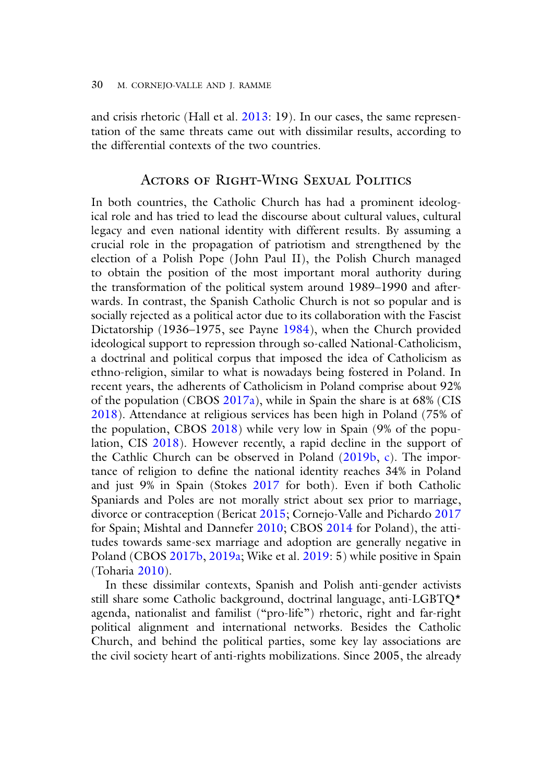and crisis rhetoric (Hall et al. 2013: 19). In our cases, the same representation of the same threats came out with dissimilar results, according to the differential contexts of the two countries.

## Actors of Right-Wing Sexual Politics

In both countries, the Catholic Church has had a prominent ideological role and has tried to lead the discourse about cultural values, cultural legacy and even national identity with different results. By assuming a crucial role in the propagation of patriotism and strengthened by the election of a Polish Pope (John Paul II), the Polish Church managed to obtain the position of the most important moral authority during the transformation of the political system around 1989–1990 and afterwards. In contrast, the Spanish Catholic Church is not so popular and is socially rejected as a political actor due to its collaboration with the Fascist Dictatorship (1936–1975, see Payne 1984), when the Church provided ideological support to repression through so-called National-Catholicism, a doctrinal and political corpus that imposed the idea of Catholicism as ethno-religion, similar to what is nowadays being fostered in Poland. In recent years, the adherents of Catholicism in Poland comprise about 92% of the population (CBOS 2017a), while in Spain the share is at 68% (CIS 2018). Attendance at religious services has been high in Poland (75% of the population, CBOS 2018) while very low in Spain (9% of the population, CIS 2018). However recently, a rapid decline in the support of the Cathlic Church can be observed in Poland (2019b, c). The importance of religion to define the national identity reaches 34% in Poland and just 9% in Spain (Stokes 2017 for both). Even if both Catholic Spaniards and Poles are not morally strict about sex prior to marriage, divorce or contraception (Bericat 2015; Cornejo-Valle and Pichardo 2017 for Spain; Mishtal and Dannefer 2010; CBOS 2014 for Poland), the attitudes towards same-sex marriage and adoption are generally negative in Poland (CBOS 2017b, 2019a; Wike et al. 2019: 5) while positive in Spain (Toharia 2010).

In these dissimilar contexts, Spanish and Polish anti-gender activists still share some Catholic background, doctrinal language, anti-LGBTQ\* agenda, nationalist and familist ("pro-life") rhetoric, right and far-right political alignment and international networks. Besides the Catholic Church, and behind the political parties, some key lay associations are the civil society heart of anti-rights mobilizations. Since 2005, the already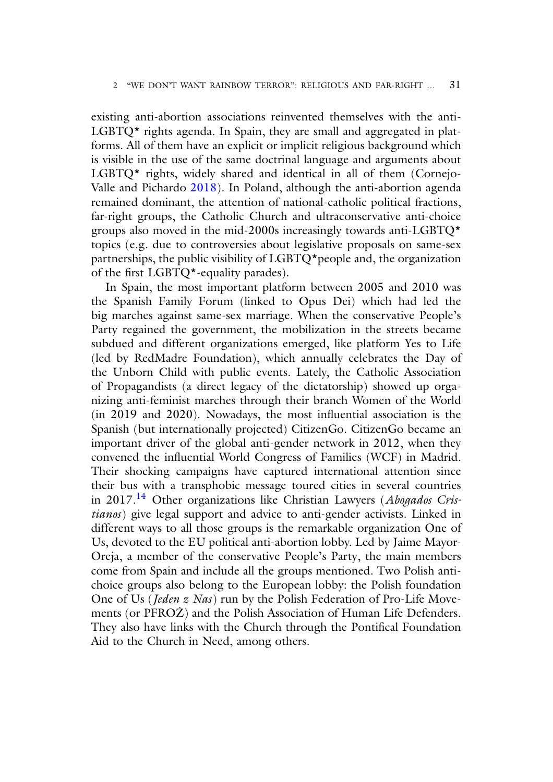existing anti-abortion associations reinvented themselves with the anti-LGBTQ\* rights agenda. In Spain, they are small and aggregated in platforms. All of them have an explicit or implicit religious background which is visible in the use of the same doctrinal language and arguments about LGBTQ\* rights, widely shared and identical in all of them (Cornejo-Valle and Pichardo 2018). In Poland, although the anti-abortion agenda remained dominant, the attention of national-catholic political fractions, far-right groups, the Catholic Church and ultraconservative anti-choice groups also moved in the mid-2000s increasingly towards anti-LGBTQ\* topics (e.g. due to controversies about legislative proposals on same-sex partnerships, the public visibility of LGBTQ\*people and, the organization of the first LGBTQ\*-equality parades).

In Spain, the most important platform between 2005 and 2010 was the Spanish Family Forum (linked to Opus Dei) which had led the big marches against same-sex marriage. When the conservative People's Party regained the government, the mobilization in the streets became subdued and different organizations emerged, like platform Yes to Life (led by RedMadre Foundation), which annually celebrates the Day of the Unborn Child with public events. Lately, the Catholic Association of Propagandists (a direct legacy of the dictatorship) showed up organizing anti-feminist marches through their branch Women of the World (in 2019 and 2020). Nowadays, the most influential association is the Spanish (but internationally projected) CitizenGo. CitizenGo became an important driver of the global anti-gender network in 2012, when they convened the influential World Congress of Families (WCF) in Madrid. Their shocking campaigns have captured international attention since their bus with a transphobic message toured cities in several countries in 2017.<sup>14</sup> Other organizations like Christian Lawyers (*Abogados Cristianos*) give legal support and advice to anti-gender activists. Linked in different ways to all those groups is the remarkable organization One of Us, devoted to the EU political anti-abortion lobby. Led by Jaime Mayor-Oreja, a member of the conservative People's Party, the main members come from Spain and include all the groups mentioned. Two Polish antichoice groups also belong to the European lobby: the Polish foundation One of Us (*Jeden z Nas*) run by the Polish Federation of Pro-Life Movements (or PFROZ) and the Polish Association of Human Life Defenders. They also have links with the Church through the Pontifical Foundation Aid to the Church in Need, among others.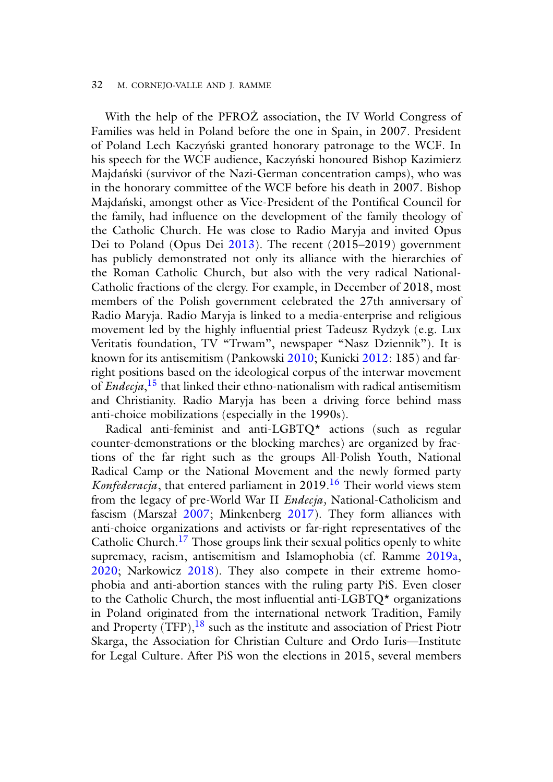#### 32 M. CORNEJO-VALLE AND J. RAMME

With the help of the PFROZ association, the IV World Congress of Families was held in Poland before the one in Spain, in 2007. President of Poland Lech Kaczyński granted honorary patronage to the WCF. In his speech for the WCF audience, Kaczyński honoured Bishop Kazimierz Majdański (survivor of the Nazi-German concentration camps), who was in the honorary committee of the WCF before his death in 2007. Bishop Majdański, amongst other as Vice-President of the Pontifical Council for the family, had influence on the development of the family theology of the Catholic Church. He was close to Radio Maryja and invited Opus Dei to Poland (Opus Dei 2013). The recent (2015–2019) government has publicly demonstrated not only its alliance with the hierarchies of the Roman Catholic Church, but also with the very radical National-Catholic fractions of the clergy. For example, in December of 2018, most members of the Polish government celebrated the 27th anniversary of Radio Maryja. Radio Maryja is linked to a media-enterprise and religious movement led by the highly influential priest Tadeusz Rydzyk (e.g. Lux Veritatis foundation, TV "Trwam", newspaper "Nasz Dziennik"). It is known for its antisemitism (Pankowski 2010; Kunicki 2012: 185) and farright positions based on the ideological corpus of the interwar movement of *Endecja*, <sup>15</sup> that linked their ethno-nationalism with radical antisemitism and Christianity. Radio Maryja has been a driving force behind mass anti-choice mobilizations (especially in the 1990s).

Radical anti-feminist and anti-LGBTQ\* actions (such as regular counter-demonstrations or the blocking marches) are organized by fractions of the far right such as the groups All-Polish Youth, National Radical Camp or the National Movement and the newly formed party *Konfederacja*, that entered parliament in 2019.<sup>16</sup> Their world views stem from the legacy of pre-World War II *Endecja,* National-Catholicism and fascism (Marszał 2007; Minkenberg 2017). They form alliances with anti-choice organizations and activists or far-right representatives of the Catholic Church.<sup>17</sup> Those groups link their sexual politics openly to white supremacy, racism, antisemitism and Islamophobia (cf. Ramme 2019a, 2020; Narkowicz 2018). They also compete in their extreme homophobia and anti-abortion stances with the ruling party PiS. Even closer to the Catholic Church, the most influential anti-LGBTQ\* organizations in Poland originated from the international network Tradition, Family and Property  $(TFP)$ ,  $^{18}$  such as the institute and association of Priest Piotr Skarga, the Association for Christian Culture and Ordo Iuris—Institute for Legal Culture. After PiS won the elections in 2015, several members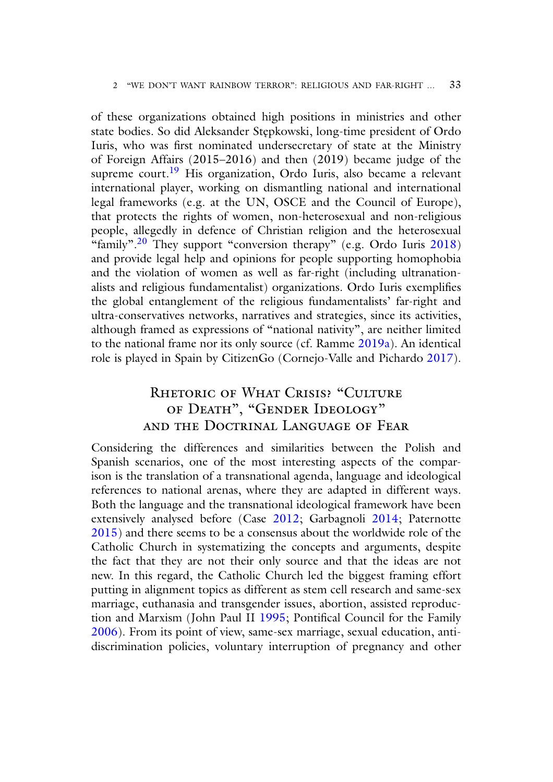of these organizations obtained high positions in ministries and other state bodies. So did Aleksander Stępkowski, long-time president of Ordo Iuris, who was first nominated undersecretary of state at the Ministry of Foreign Affairs (2015–2016) and then (2019) became judge of the supreme court.<sup>19</sup> His organization, Ordo Iuris, also became a relevant international player, working on dismantling national and international legal frameworks (e.g. at the UN, OSCE and the Council of Europe), that protects the rights of women, non-heterosexual and non-religious people, allegedly in defence of Christian religion and the heterosexual "family".<sup>20</sup> They support "conversion therapy" (e.g. Ordo Iuris  $2018$ ) and provide legal help and opinions for people supporting homophobia and the violation of women as well as far-right (including ultranationalists and religious fundamentalist) organizations. Ordo Iuris exemplifies the global entanglement of the religious fundamentalists' far-right and ultra-conservatives networks, narratives and strategies, since its activities, although framed as expressions of "national nativity", are neither limited to the national frame nor its only source (cf. Ramme 2019a). An identical role is played in Spain by CitizenGo (Cornejo-Valle and Pichardo 2017).

# RHETORIC OF WHAT CRISIS? "CULTURE of Death", "Gender Ideology" and the Doctrinal Language of Fear

Considering the differences and similarities between the Polish and Spanish scenarios, one of the most interesting aspects of the comparison is the translation of a transnational agenda, language and ideological references to national arenas, where they are adapted in different ways. Both the language and the transnational ideological framework have been extensively analysed before (Case 2012; Garbagnoli 2014; Paternotte 2015) and there seems to be a consensus about the worldwide role of the Catholic Church in systematizing the concepts and arguments, despite the fact that they are not their only source and that the ideas are not new. In this regard, the Catholic Church led the biggest framing effort putting in alignment topics as different as stem cell research and same-sex marriage, euthanasia and transgender issues, abortion, assisted reproduction and Marxism (John Paul II 1995; Pontifical Council for the Family 2006). From its point of view, same-sex marriage, sexual education, antidiscrimination policies, voluntary interruption of pregnancy and other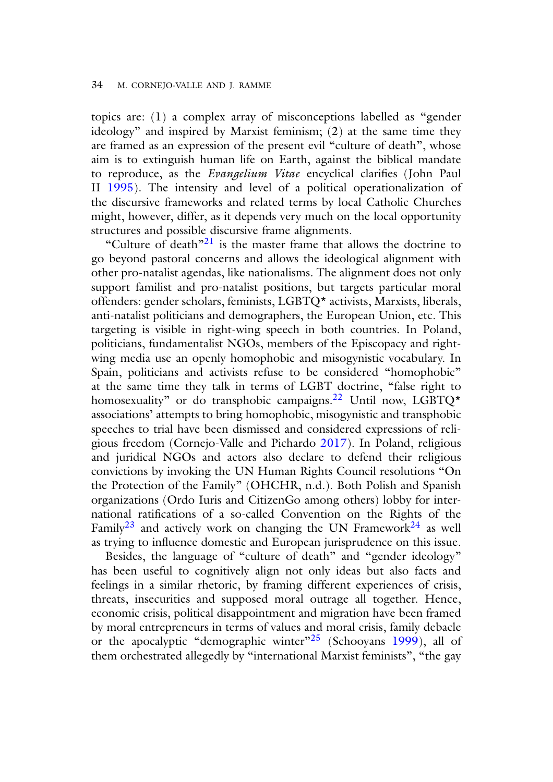topics are: (1) a complex array of misconceptions labelled as "gender ideology" and inspired by Marxist feminism; (2) at the same time they are framed as an expression of the present evil "culture of death", whose aim is to extinguish human life on Earth, against the biblical mandate to reproduce, as the *Evangelium Vitae* encyclical clarifies (John Paul II 1995). The intensity and level of a political operationalization of the discursive frameworks and related terms by local Catholic Churches might, however, differ, as it depends very much on the local opportunity structures and possible discursive frame alignments.

"Culture of death"<sup>21</sup> is the master frame that allows the doctrine to go beyond pastoral concerns and allows the ideological alignment with other pro-natalist agendas, like nationalisms. The alignment does not only support familist and pro-natalist positions, but targets particular moral offenders: gender scholars, feminists, LGBTQ\* activists, Marxists, liberals, anti-natalist politicians and demographers, the European Union, etc. This targeting is visible in right-wing speech in both countries. In Poland, politicians, fundamentalist NGOs, members of the Episcopacy and rightwing media use an openly homophobic and misogynistic vocabulary. In Spain, politicians and activists refuse to be considered "homophobic" at the same time they talk in terms of LGBT doctrine, "false right to homosexuality" or do transphobic campaigns.<sup>22</sup> Until now, LGBTQ\* associations' attempts to bring homophobic, misogynistic and transphobic speeches to trial have been dismissed and considered expressions of religious freedom (Cornejo-Valle and Pichardo 2017). In Poland, religious and juridical NGOs and actors also declare to defend their religious convictions by invoking the UN Human Rights Council resolutions "On the Protection of the Family" (OHCHR, n.d.). Both Polish and Spanish organizations (Ordo Iuris and CitizenGo among others) lobby for international ratifications of a so-called Convention on the Rights of the Family<sup>23</sup> and actively work on changing the UN Framework<sup>24</sup> as well as trying to influence domestic and European jurisprudence on this issue.

Besides, the language of "culture of death" and "gender ideology" has been useful to cognitively align not only ideas but also facts and feelings in a similar rhetoric, by framing different experiences of crisis, threats, insecurities and supposed moral outrage all together. Hence, economic crisis, political disappointment and migration have been framed by moral entrepreneurs in terms of values and moral crisis, family debacle or the apocalyptic "demographic winter" $25$  (Schooyans 1999), all of them orchestrated allegedly by "international Marxist feminists", "the gay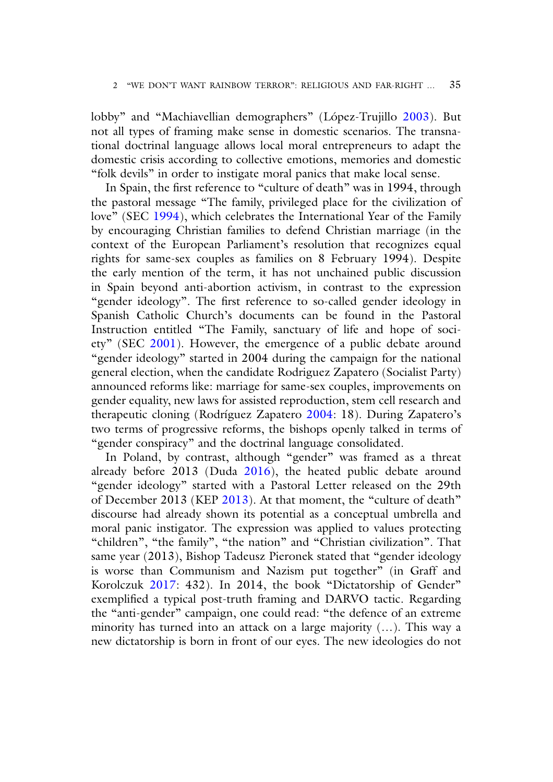lobby" and "Machiavellian demographers" (López-Trujillo 2003). But not all types of framing make sense in domestic scenarios. The transnational doctrinal language allows local moral entrepreneurs to adapt the domestic crisis according to collective emotions, memories and domestic "folk devils" in order to instigate moral panics that make local sense.

In Spain, the first reference to "culture of death" was in 1994, through the pastoral message "The family, privileged place for the civilization of love" (SEC 1994), which celebrates the International Year of the Family by encouraging Christian families to defend Christian marriage (in the context of the European Parliament's resolution that recognizes equal rights for same-sex couples as families on 8 February 1994). Despite the early mention of the term, it has not unchained public discussion in Spain beyond anti-abortion activism, in contrast to the expression "gender ideology". The first reference to so-called gender ideology in Spanish Catholic Church's documents can be found in the Pastoral Instruction entitled "The Family, sanctuary of life and hope of society" (SEC 2001). However, the emergence of a public debate around "gender ideology" started in 2004 during the campaign for the national general election, when the candidate Rodriguez Zapatero (Socialist Party) announced reforms like: marriage for same-sex couples, improvements on gender equality, new laws for assisted reproduction, stem cell research and therapeutic cloning (Rodríguez Zapatero 2004: 18). During Zapatero's two terms of progressive reforms, the bishops openly talked in terms of "gender conspiracy" and the doctrinal language consolidated.

In Poland, by contrast, although "gender" was framed as a threat already before 2013 (Duda 2016), the heated public debate around "gender ideology" started with a Pastoral Letter released on the 29th of December 2013 (KEP 2013). At that moment, the "culture of death" discourse had already shown its potential as a conceptual umbrella and moral panic instigator. The expression was applied to values protecting "children", "the family", "the nation" and "Christian civilization". That same year (2013), Bishop Tadeusz Pieronek stated that "gender ideology is worse than Communism and Nazism put together" (in Graff and Korolczuk 2017: 432). In 2014, the book "Dictatorship of Gender" exemplified a typical post-truth framing and DARVO tactic. Regarding the "anti-gender" campaign, one could read: "the defence of an extreme minority has turned into an attack on a large majority (…). This way a new dictatorship is born in front of our eyes. The new ideologies do not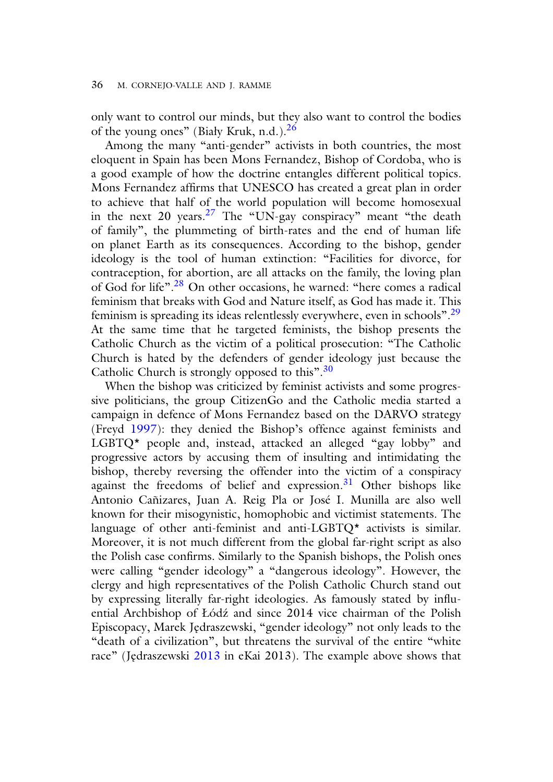only want to control our minds, but they also want to control the bodies of the young ones" (Biały Kruk, n.d.).<sup>26</sup>

Among the many "anti-gender" activists in both countries, the most eloquent in Spain has been Mons Fernandez, Bishop of Cordoba, who is a good example of how the doctrine entangles different political topics. Mons Fernandez affirms that UNESCO has created a great plan in order to achieve that half of the world population will become homosexual in the next 20 years. $27$  The "UN-gay conspiracy" meant "the death of family", the plummeting of birth-rates and the end of human life on planet Earth as its consequences. According to the bishop, gender ideology is the tool of human extinction: "Facilities for divorce, for contraception, for abortion, are all attacks on the family, the loving plan of God for life".<sup>28</sup> On other occasions, he warned: "here comes a radical feminism that breaks with God and Nature itself, as God has made it. This feminism is spreading its ideas relentlessly everywhere, even in schools".<sup>29</sup> At the same time that he targeted feminists, the bishop presents the Catholic Church as the victim of a political prosecution: "The Catholic Church is hated by the defenders of gender ideology just because the Catholic Church is strongly opposed to this".<sup>30</sup>

When the bishop was criticized by feminist activists and some progressive politicians, the group CitizenGo and the Catholic media started a campaign in defence of Mons Fernandez based on the DARVO strategy (Freyd 1997): they denied the Bishop's offence against feminists and LGBTQ\* people and, instead, attacked an alleged "gay lobby" and progressive actors by accusing them of insulting and intimidating the bishop, thereby reversing the offender into the victim of a conspiracy against the freedoms of belief and expression.<sup>31</sup> Other bishops like Antonio Cañizares, Juan A. Reig Pla or José I. Munilla are also well known for their misogynistic, homophobic and victimist statements. The language of other anti-feminist and anti-LGBTQ\* activists is similar. Moreover, it is not much different from the global far-right script as also the Polish case confirms. Similarly to the Spanish bishops, the Polish ones were calling "gender ideology" a "dangerous ideology". However, the clergy and high representatives of the Polish Catholic Church stand out by expressing literally far-right ideologies. As famously stated by influential Archbishop of Łódź and since 2014 vice chairman of the Polish Episcopacy, Marek J˛edraszewski, "gender ideology" not only leads to the "death of a civilization", but threatens the survival of the entire "white race" (Jędraszewski 2013 in eKai 2013). The example above shows that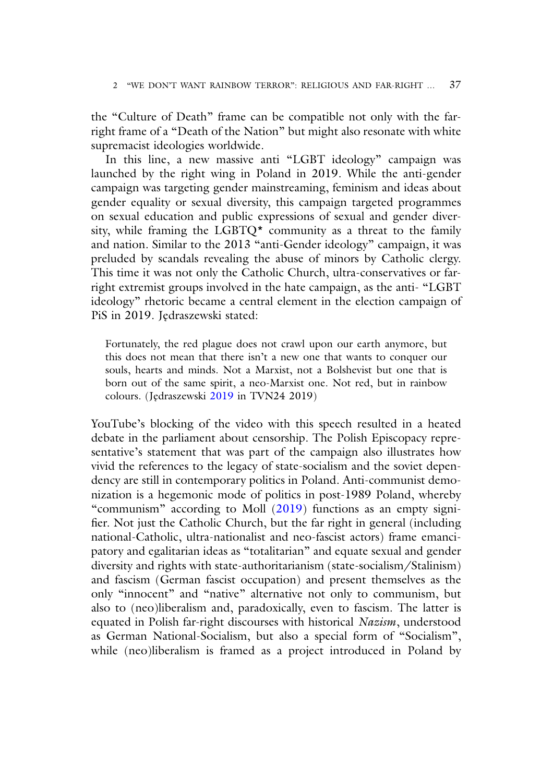the "Culture of Death" frame can be compatible not only with the farright frame of a "Death of the Nation" but might also resonate with white supremacist ideologies worldwide.

In this line, a new massive anti "LGBT ideology" campaign was launched by the right wing in Poland in 2019. While the anti-gender campaign was targeting gender mainstreaming, feminism and ideas about gender equality or sexual diversity, this campaign targeted programmes on sexual education and public expressions of sexual and gender diversity, while framing the LGBTQ\* community as a threat to the family and nation. Similar to the 2013 "anti-Gender ideology" campaign, it was preluded by scandals revealing the abuse of minors by Catholic clergy. This time it was not only the Catholic Church, ultra-conservatives or farright extremist groups involved in the hate campaign, as the anti- "LGBT ideology" rhetoric became a central element in the election campaign of PiS in 2019. Jedraszewski stated:

Fortunately, the red plague does not crawl upon our earth anymore, but this does not mean that there isn't a new one that wants to conquer our souls, hearts and minds. Not a Marxist, not a Bolshevist but one that is born out of the same spirit, a neo-Marxist one. Not red, but in rainbow colours. (Jędraszewski 2019 in TVN24 2019)

YouTube's blocking of the video with this speech resulted in a heated debate in the parliament about censorship. The Polish Episcopacy representative's statement that was part of the campaign also illustrates how vivid the references to the legacy of state-socialism and the soviet dependency are still in contemporary politics in Poland. Anti-communist demonization is a hegemonic mode of politics in post-1989 Poland, whereby "communism" according to Moll (2019) functions as an empty signifier. Not just the Catholic Church, but the far right in general (including national-Catholic, ultra-nationalist and neo-fascist actors) frame emancipatory and egalitarian ideas as "totalitarian" and equate sexual and gender diversity and rights with state-authoritarianism (state-socialism/Stalinism) and fascism (German fascist occupation) and present themselves as the only "innocent" and "native" alternative not only to communism, but also to (neo)liberalism and, paradoxically, even to fascism. The latter is equated in Polish far-right discourses with historical *Nazism*, understood as German National-Socialism, but also a special form of "Socialism", while (neo)liberalism is framed as a project introduced in Poland by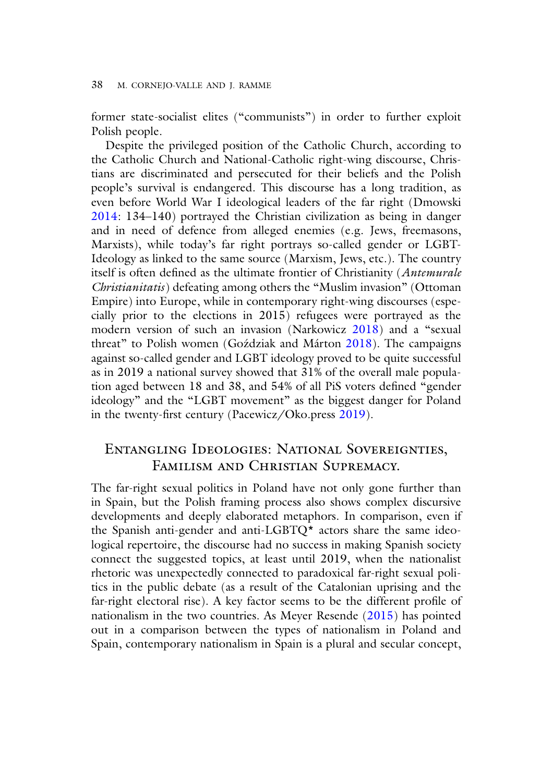former state-socialist elites ("communists") in order to further exploit Polish people.

Despite the privileged position of the Catholic Church, according to the Catholic Church and National-Catholic right-wing discourse, Christians are discriminated and persecuted for their beliefs and the Polish people's survival is endangered. This discourse has a long tradition, as even before World War I ideological leaders of the far right (Dmowski 2014: 134–140) portrayed the Christian civilization as being in danger and in need of defence from alleged enemies (e.g. Jews, freemasons, Marxists), while today's far right portrays so-called gender or LGBT-Ideology as linked to the same source (Marxism, Jews, etc.). The country itself is often defined as the ultimate frontier of Christianity (*Antemurale Christianitatis*) defeating among others the "Muslim invasion" (Ottoman Empire) into Europe, while in contemporary right-wing discourses (especially prior to the elections in 2015) refugees were portrayed as the modern version of such an invasion (Narkowicz 2018) and a "sexual threat" to Polish women (Gozdziak and Márton 2018). The campaigns against so-called gender and LGBT ideology proved to be quite successful as in 2019 a national survey showed that 31% of the overall male population aged between 18 and 38, and 54% of all PiS voters defined "gender ideology" and the "LGBT movement" as the biggest danger for Poland in the twenty-first century (Pacewicz/Oko.press 2019).

# Entangling Ideologies: National Sovereignties, Familism and Christian Supremacy.

The far-right sexual politics in Poland have not only gone further than in Spain, but the Polish framing process also shows complex discursive developments and deeply elaborated metaphors. In comparison, even if the Spanish anti-gender and anti-LGBTQ\* actors share the same ideological repertoire, the discourse had no success in making Spanish society connect the suggested topics, at least until 2019, when the nationalist rhetoric was unexpectedly connected to paradoxical far-right sexual politics in the public debate (as a result of the Catalonian uprising and the far-right electoral rise). A key factor seems to be the different profile of nationalism in the two countries. As Meyer Resende (2015) has pointed out in a comparison between the types of nationalism in Poland and Spain, contemporary nationalism in Spain is a plural and secular concept,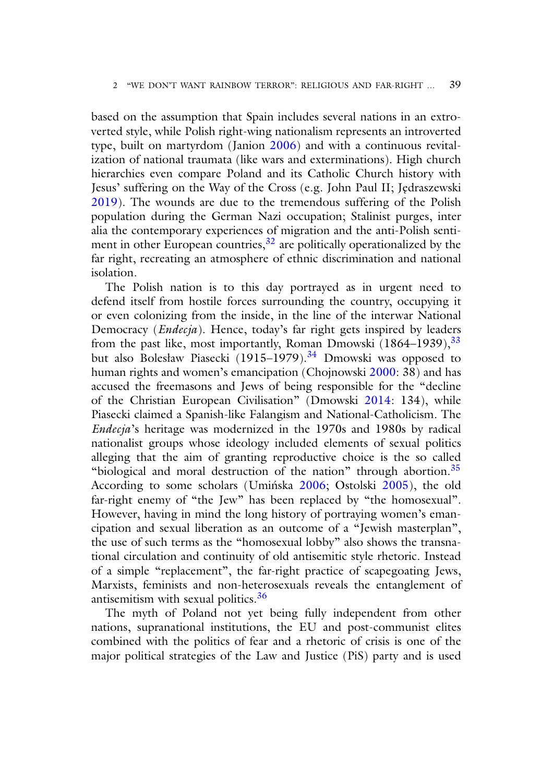based on the assumption that Spain includes several nations in an extroverted style, while Polish right-wing nationalism represents an introverted type, built on martyrdom (Janion 2006) and with a continuous revitalization of national traumata (like wars and exterminations). High church hierarchies even compare Poland and its Catholic Church history with Jesus' suffering on the Way of the Cross (e.g. John Paul II; Jedraszewski 2019). The wounds are due to the tremendous suffering of the Polish population during the German Nazi occupation; Stalinist purges, inter alia the contemporary experiences of migration and the anti-Polish sentiment in other European countries, $32$  are politically operationalized by the far right, recreating an atmosphere of ethnic discrimination and national isolation.

The Polish nation is to this day portrayed as in urgent need to defend itself from hostile forces surrounding the country, occupying it or even colonizing from the inside, in the line of the interwar National Democracy (*Endecja*). Hence, today's far right gets inspired by leaders from the past like, most importantly, Roman Dmowski  $(1864-1939)$ ,  $33$ but also Bolesław Piasecki (1915–1979).<sup>34</sup> Dmowski was opposed to human rights and women's emancipation (Chojnowski 2000: 38) and has accused the freemasons and Jews of being responsible for the "decline of the Christian European Civilisation" (Dmowski 2014: 134), while Piasecki claimed a Spanish-like Falangism and National-Catholicism. The *Endecja*'s heritage was modernized in the 1970s and 1980s by radical nationalist groups whose ideology included elements of sexual politics alleging that the aim of granting reproductive choice is the so called "biological and moral destruction of the nation" through abortion. $35$ According to some scholars (Umińska 2006; Ostolski 2005), the old far-right enemy of "the Jew" has been replaced by "the homosexual". However, having in mind the long history of portraying women's emancipation and sexual liberation as an outcome of a "Jewish masterplan", the use of such terms as the "homosexual lobby" also shows the transnational circulation and continuity of old antisemitic style rhetoric. Instead of a simple "replacement", the far-right practice of scapegoating Jews, Marxists, feminists and non-heterosexuals reveals the entanglement of antisemitism with sexual politics.<sup>36</sup>

The myth of Poland not yet being fully independent from other nations, supranational institutions, the EU and post-communist elites combined with the politics of fear and a rhetoric of crisis is one of the major political strategies of the Law and Justice (PiS) party and is used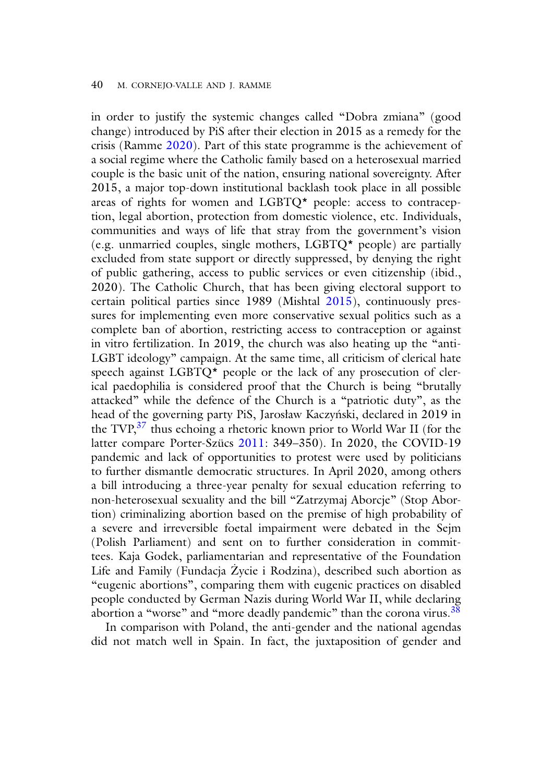in order to justify the systemic changes called "Dobra zmiana" (good change) introduced by PiS after their election in 2015 as a remedy for the crisis (Ramme 2020). Part of this state programme is the achievement of a social regime where the Catholic family based on a heterosexual married couple is the basic unit of the nation, ensuring national sovereignty. After 2015, a major top-down institutional backlash took place in all possible areas of rights for women and LGBTQ\* people: access to contraception, legal abortion, protection from domestic violence, etc. Individuals, communities and ways of life that stray from the government's vision (e.g. unmarried couples, single mothers, LGBTQ\* people) are partially excluded from state support or directly suppressed, by denying the right of public gathering, access to public services or even citizenship (ibid., 2020). The Catholic Church, that has been giving electoral support to certain political parties since 1989 (Mishtal 2015), continuously pressures for implementing even more conservative sexual politics such as a complete ban of abortion, restricting access to contraception or against in vitro fertilization. In 2019, the church was also heating up the "anti-LGBT ideology" campaign. At the same time, all criticism of clerical hate speech against LGBTQ\* people or the lack of any prosecution of clerical paedophilia is considered proof that the Church is being "brutally attacked" while the defence of the Church is a "patriotic duty", as the head of the governing party PiS, Jarosław Kaczyński, declared in 2019 in the  $TVP<sub>1</sub><sup>37</sup>$  thus echoing a rhetoric known prior to World War II (for the latter compare Porter-Szücs 2011: 349–350). In 2020, the COVID-19 pandemic and lack of opportunities to protest were used by politicians to further dismantle democratic structures. In April 2020, among others a bill introducing a three-year penalty for sexual education referring to non-heterosexual sexuality and the bill "Zatrzymaj Aborcje" (Stop Abortion) criminalizing abortion based on the premise of high probability of a severe and irreversible foetal impairment were debated in the Sejm (Polish Parliament) and sent on to further consideration in committees. Kaja Godek, parliamentarian and representative of the Foundation Life and Family (Fundacja Žycie i Rodzina), described such abortion as "eugenic abortions", comparing them with eugenic practices on disabled people conducted by German Nazis during World War II, while declaring abortion a "worse" and "more deadly pandemic" than the corona virus.<sup>38</sup>

In comparison with Poland, the anti-gender and the national agendas did not match well in Spain. In fact, the juxtaposition of gender and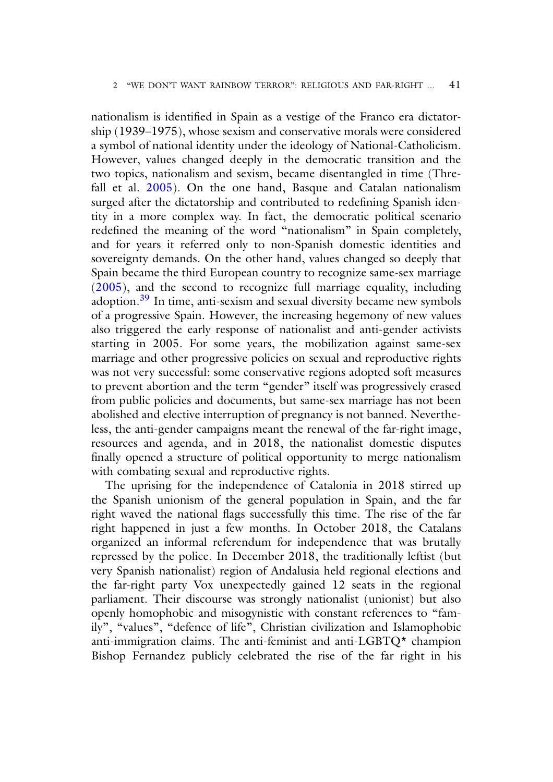nationalism is identified in Spain as a vestige of the Franco era dictatorship (1939–1975), whose sexism and conservative morals were considered a symbol of national identity under the ideology of National-Catholicism. However, values changed deeply in the democratic transition and the two topics, nationalism and sexism, became disentangled in time (Threfall et al. 2005). On the one hand, Basque and Catalan nationalism surged after the dictatorship and contributed to redefining Spanish identity in a more complex way. In fact, the democratic political scenario redefined the meaning of the word "nationalism" in Spain completely, and for years it referred only to non-Spanish domestic identities and sovereignty demands. On the other hand, values changed so deeply that Spain became the third European country to recognize same-sex marriage (2005), and the second to recognize full marriage equality, including adoption.<sup>39</sup> In time, anti-sexism and sexual diversity became new symbols of a progressive Spain. However, the increasing hegemony of new values also triggered the early response of nationalist and anti-gender activists starting in 2005. For some years, the mobilization against same-sex marriage and other progressive policies on sexual and reproductive rights was not very successful: some conservative regions adopted soft measures to prevent abortion and the term "gender" itself was progressively erased from public policies and documents, but same-sex marriage has not been abolished and elective interruption of pregnancy is not banned. Nevertheless, the anti-gender campaigns meant the renewal of the far-right image, resources and agenda, and in 2018, the nationalist domestic disputes finally opened a structure of political opportunity to merge nationalism with combating sexual and reproductive rights.

The uprising for the independence of Catalonia in 2018 stirred up the Spanish unionism of the general population in Spain, and the far right waved the national flags successfully this time. The rise of the far right happened in just a few months. In October 2018, the Catalans organized an informal referendum for independence that was brutally repressed by the police. In December 2018, the traditionally leftist (but very Spanish nationalist) region of Andalusia held regional elections and the far-right party Vox unexpectedly gained 12 seats in the regional parliament. Their discourse was strongly nationalist (unionist) but also openly homophobic and misogynistic with constant references to "family", "values", "defence of life", Christian civilization and Islamophobic anti-immigration claims. The anti-feminist and anti-LGBTQ\* champion Bishop Fernandez publicly celebrated the rise of the far right in his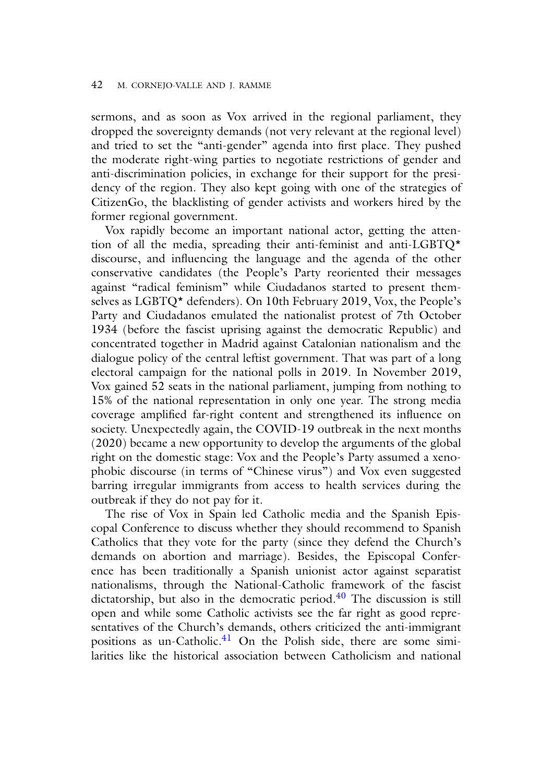sermons, and as soon as Vox arrived in the regional parliament, they dropped the sovereignty demands (not very relevant at the regional level) and tried to set the "anti-gender" agenda into first place. They pushed the moderate right-wing parties to negotiate restrictions of gender and anti-discrimination policies, in exchange for their support for the presidency of the region. They also kept going with one of the strategies of CitizenGo, the blacklisting of gender activists and workers hired by the former regional government.

Vox rapidly become an important national actor, getting the attention of all the media, spreading their anti-feminist and anti-LGBTQ\* discourse, and influencing the language and the agenda of the other conservative candidates (the People's Party reoriented their messages against "radical feminism" while Ciudadanos started to present themselves as LGBTQ\* defenders). On 10th February 2019, Vox, the People's Party and Ciudadanos emulated the nationalist protest of 7th October 1934 (before the fascist uprising against the democratic Republic) and concentrated together in Madrid against Catalonian nationalism and the dialogue policy of the central leftist government. That was part of a long electoral campaign for the national polls in 2019. In November 2019, Vox gained 52 seats in the national parliament, jumping from nothing to 15% of the national representation in only one year. The strong media coverage amplified far-right content and strengthened its influence on society. Unexpectedly again, the COVID-19 outbreak in the next months (2020) became a new opportunity to develop the arguments of the global right on the domestic stage: Vox and the People's Party assumed a xenophobic discourse (in terms of "Chinese virus") and Vox even suggested barring irregular immigrants from access to health services during the outbreak if they do not pay for it.

The rise of Vox in Spain led Catholic media and the Spanish Episcopal Conference to discuss whether they should recommend to Spanish Catholics that they vote for the party (since they defend the Church's demands on abortion and marriage). Besides, the Episcopal Conference has been traditionally a Spanish unionist actor against separatist nationalisms, through the National-Catholic framework of the fascist dictatorship, but also in the democratic period. $40$  The discussion is still open and while some Catholic activists see the far right as good representatives of the Church's demands, others criticized the anti-immigrant positions as un-Catholic. $41$  On the Polish side, there are some similarities like the historical association between Catholicism and national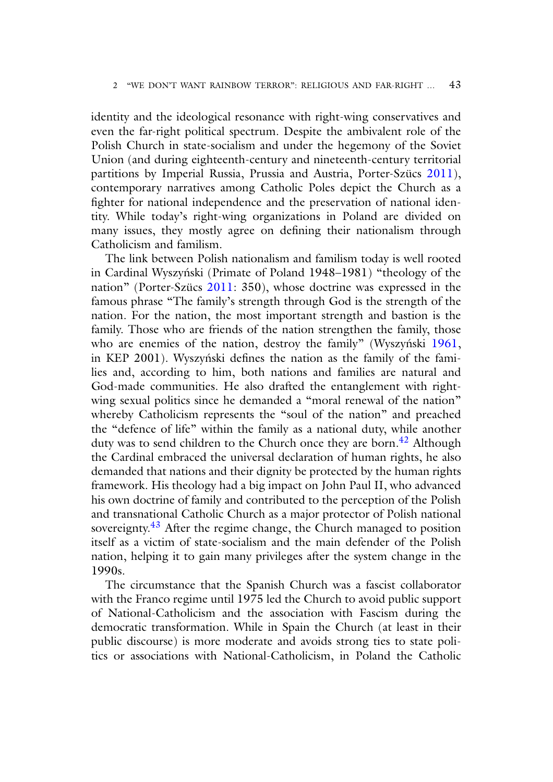identity and the ideological resonance with right-wing conservatives and even the far-right political spectrum. Despite the ambivalent role of the Polish Church in state-socialism and under the hegemony of the Soviet Union (and during eighteenth-century and nineteenth-century territorial partitions by Imperial Russia, Prussia and Austria, Porter-Szücs 2011), contemporary narratives among Catholic Poles depict the Church as a fighter for national independence and the preservation of national identity. While today's right-wing organizations in Poland are divided on many issues, they mostly agree on defining their nationalism through Catholicism and familism.

The link between Polish nationalism and familism today is well rooted in Cardinal Wyszyński (Primate of Poland 1948–1981) "theology of the nation" (Porter-Szücs 2011: 350), whose doctrine was expressed in the famous phrase "The family's strength through God is the strength of the nation. For the nation, the most important strength and bastion is the family. Those who are friends of the nation strengthen the family, those who are enemies of the nation, destroy the family" (Wyszyński 1961, in KEP 2001). Wyszyński defines the nation as the family of the families and, according to him, both nations and families are natural and God-made communities. He also drafted the entanglement with rightwing sexual politics since he demanded a "moral renewal of the nation" whereby Catholicism represents the "soul of the nation" and preached the "defence of life" within the family as a national duty, while another duty was to send children to the Church once they are born.<sup>42</sup> Although the Cardinal embraced the universal declaration of human rights, he also demanded that nations and their dignity be protected by the human rights framework. His theology had a big impact on John Paul II, who advanced his own doctrine of family and contributed to the perception of the Polish and transnational Catholic Church as a major protector of Polish national sovereignty.<sup>43</sup> After the regime change, the Church managed to position itself as a victim of state-socialism and the main defender of the Polish nation, helping it to gain many privileges after the system change in the 1990s.

The circumstance that the Spanish Church was a fascist collaborator with the Franco regime until 1975 led the Church to avoid public support of National-Catholicism and the association with Fascism during the democratic transformation. While in Spain the Church (at least in their public discourse) is more moderate and avoids strong ties to state politics or associations with National-Catholicism, in Poland the Catholic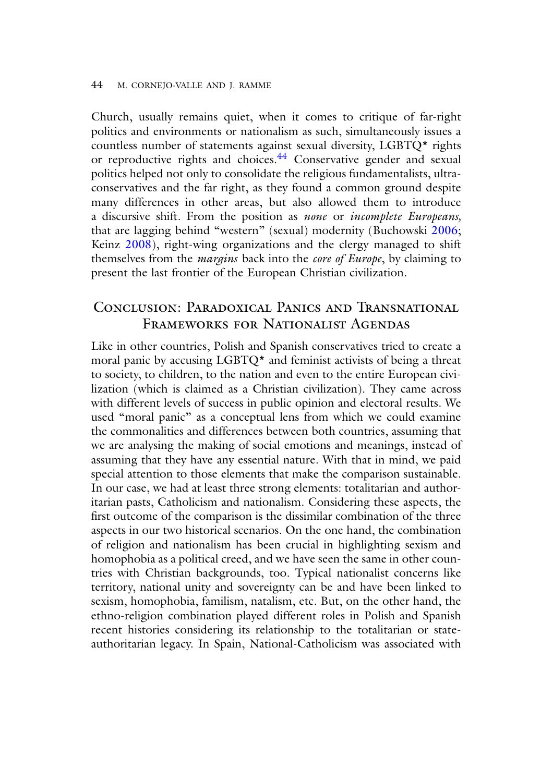Church, usually remains quiet, when it comes to critique of far-right politics and environments or nationalism as such, simultaneously issues a countless number of statements against sexual diversity, LGBTQ\* rights or reproductive rights and choices.<sup>44</sup> Conservative gender and sexual politics helped not only to consolidate the religious fundamentalists, ultraconservatives and the far right, as they found a common ground despite many differences in other areas, but also allowed them to introduce a discursive shift. From the position as *none* or *incomplete Europeans,* that are lagging behind "western" (sexual) modernity (Buchowski 2006; Keinz 2008), right-wing organizations and the clergy managed to shift themselves from the *margins* back into the *core of Europe*, by claiming to present the last frontier of the European Christian civilization.

# Conclusion: Paradoxical Panics and Transnational Frameworks for Nationalist Agendas

Like in other countries, Polish and Spanish conservatives tried to create a moral panic by accusing LGBTQ\* and feminist activists of being a threat to society, to children, to the nation and even to the entire European civilization (which is claimed as a Christian civilization). They came across with different levels of success in public opinion and electoral results. We used "moral panic" as a conceptual lens from which we could examine the commonalities and differences between both countries, assuming that we are analysing the making of social emotions and meanings, instead of assuming that they have any essential nature. With that in mind, we paid special attention to those elements that make the comparison sustainable. In our case, we had at least three strong elements: totalitarian and authoritarian pasts, Catholicism and nationalism. Considering these aspects, the first outcome of the comparison is the dissimilar combination of the three aspects in our two historical scenarios. On the one hand, the combination of religion and nationalism has been crucial in highlighting sexism and homophobia as a political creed, and we have seen the same in other countries with Christian backgrounds, too. Typical nationalist concerns like territory, national unity and sovereignty can be and have been linked to sexism, homophobia, familism, natalism, etc. But, on the other hand, the ethno-religion combination played different roles in Polish and Spanish recent histories considering its relationship to the totalitarian or stateauthoritarian legacy. In Spain, National-Catholicism was associated with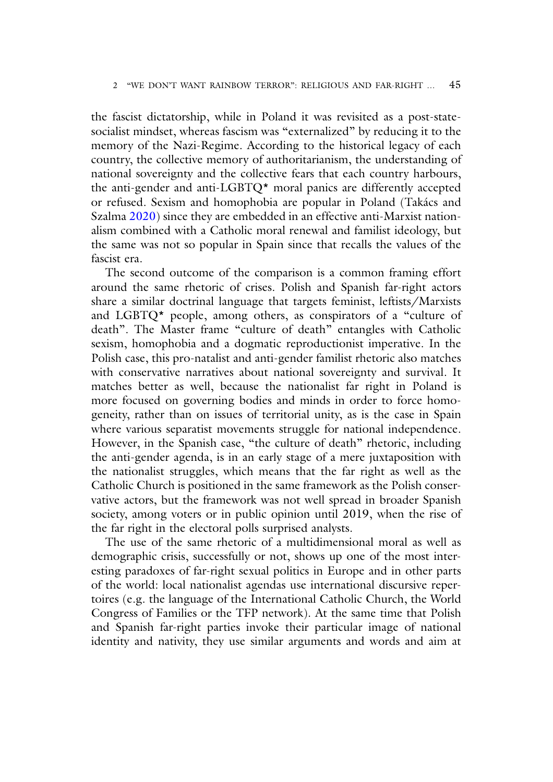the fascist dictatorship, while in Poland it was revisited as a post-statesocialist mindset, whereas fascism was "externalized" by reducing it to the memory of the Nazi-Regime. According to the historical legacy of each country, the collective memory of authoritarianism, the understanding of national sovereignty and the collective fears that each country harbours, the anti-gender and anti-LGBTQ\* moral panics are differently accepted or refused. Sexism and homophobia are popular in Poland (Takács and Szalma 2020) since they are embedded in an effective anti-Marxist nationalism combined with a Catholic moral renewal and familist ideology, but the same was not so popular in Spain since that recalls the values of the fascist era.

The second outcome of the comparison is a common framing effort around the same rhetoric of crises. Polish and Spanish far-right actors share a similar doctrinal language that targets feminist, leftists/Marxists and LGBTQ\* people, among others, as conspirators of a "culture of death". The Master frame "culture of death" entangles with Catholic sexism, homophobia and a dogmatic reproductionist imperative. In the Polish case, this pro-natalist and anti-gender familist rhetoric also matches with conservative narratives about national sovereignty and survival. It matches better as well, because the nationalist far right in Poland is more focused on governing bodies and minds in order to force homogeneity, rather than on issues of territorial unity, as is the case in Spain where various separatist movements struggle for national independence. However, in the Spanish case, "the culture of death" rhetoric, including the anti-gender agenda, is in an early stage of a mere juxtaposition with the nationalist struggles, which means that the far right as well as the Catholic Church is positioned in the same framework as the Polish conservative actors, but the framework was not well spread in broader Spanish society, among voters or in public opinion until 2019, when the rise of the far right in the electoral polls surprised analysts.

The use of the same rhetoric of a multidimensional moral as well as demographic crisis, successfully or not, shows up one of the most interesting paradoxes of far-right sexual politics in Europe and in other parts of the world: local nationalist agendas use international discursive repertoires (e.g. the language of the International Catholic Church, the World Congress of Families or the TFP network). At the same time that Polish and Spanish far-right parties invoke their particular image of national identity and nativity, they use similar arguments and words and aim at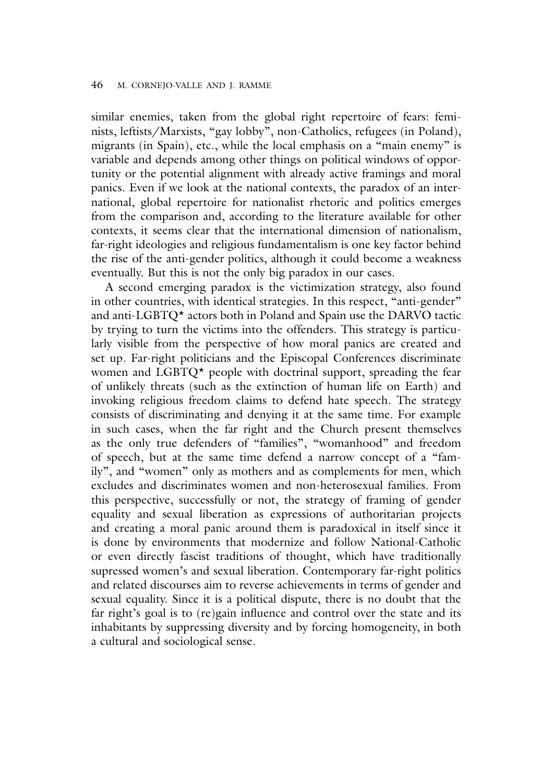similar enemies, taken from the global right repertoire of fears: feminists, leftists/Marxists, "gay lobby", non-Catholics, refugees (in Poland), migrants (in Spain), etc., while the local emphasis on a "main enemy" is variable and depends among other things on political windows of opportunity or the potential alignment with already active framings and moral panics. Even if we look at the national contexts, the paradox of an international, global repertoire for nationalist rhetoric and politics emerges from the comparison and, according to the literature available for other contexts, it seems clear that the international dimension of nationalism, far-right ideologies and religious fundamentalism is one key factor behind the rise of the anti-gender politics, although it could become a weakness eventually. But this is not the only big paradox in our cases.

A second emerging paradox is the victimization strategy, also found in other countries, with identical strategies. In this respect, "anti-gender" and anti-LGBTQ\* actors both in Poland and Spain use the DARVO tactic by trying to turn the victims into the offenders. This strategy is particularly visible from the perspective of how moral panics are created and set up. Far-right politicians and the Episcopal Conferences discriminate women and LGBTQ\* people with doctrinal support, spreading the fear of unlikely threats (such as the extinction of human life on Earth) and invoking religious freedom claims to defend hate speech. The strategy consists of discriminating and denying it at the same time. For example in such cases, when the far right and the Church present themselves as the only true defenders of "families", "womanhood" and freedom of speech, but at the same time defend a narrow concept of a "family", and "women" only as mothers and as complements for men, which excludes and discriminates women and non-heterosexual families. From this perspective, successfully or not, the strategy of framing of gender equality and sexual liberation as expressions of authoritarian projects and creating a moral panic around them is paradoxical in itself since it is done by environments that modernize and follow National-Catholic or even directly fascist traditions of thought, which have traditionally supressed women's and sexual liberation. Contemporary far-right politics and related discourses aim to reverse achievements in terms of gender and sexual equality. Since it is a political dispute, there is no doubt that the far right's goal is to (re)gain influence and control over the state and its inhabitants by suppressing diversity and by forcing homogeneity, in both a cultural and sociological sense.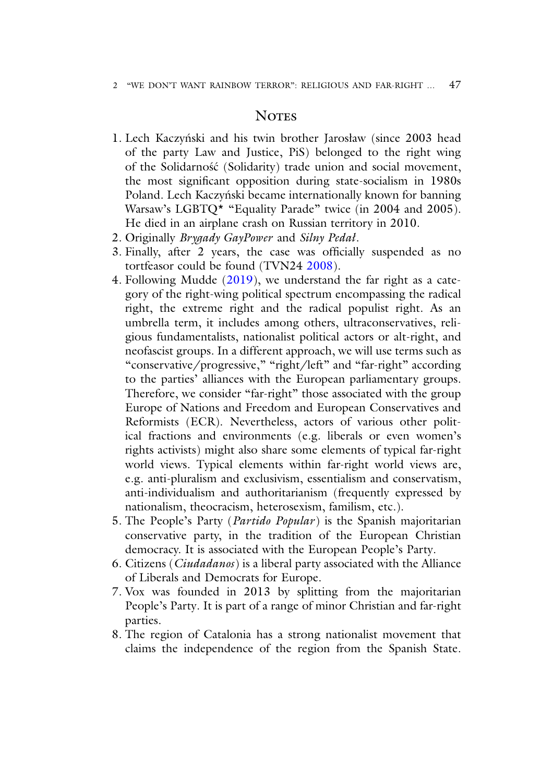## **NOTES**

- 1. Lech Kaczyński and his twin brother Jarosław (since 2003 head of the party Law and Justice, PiS) belonged to the right wing of the Solidarność (Solidarity) trade union and social movement, the most significant opposition during state-socialism in 1980s Poland. Lech Kaczyński became internationally known for banning Warsaw's LGBTQ\* "Equality Parade" twice (in 2004 and 2005). He died in an airplane crash on Russian territory in 2010.
- 2. Originally *Brygady GayPower* and *Silny Pedał*.
- 3. Finally, after 2 years, the case was officially suspended as no tortfeasor could be found (TVN24 2008).
- 4. Following Mudde (2019), we understand the far right as a category of the right-wing political spectrum encompassing the radical right, the extreme right and the radical populist right. As an umbrella term, it includes among others, ultraconservatives, religious fundamentalists, nationalist political actors or alt-right, and neofascist groups. In a different approach, we will use terms such as "conservative/progressive," "right/left" and "far-right" according to the parties' alliances with the European parliamentary groups. Therefore, we consider "far-right" those associated with the group Europe of Nations and Freedom and European Conservatives and Reformists (ECR). Nevertheless, actors of various other political fractions and environments (e.g. liberals or even women's rights activists) might also share some elements of typical far-right world views. Typical elements within far-right world views are, e.g. anti-pluralism and exclusivism, essentialism and conservatism, anti-individualism and authoritarianism (frequently expressed by nationalism, theocracism, heterosexism, familism, etc.).
- 5. The People's Party (*Partido Popular*) is the Spanish majoritarian conservative party, in the tradition of the European Christian democracy. It is associated with the European People's Party.
- 6. Citizens (*Ciudadanos*) is a liberal party associated with the Alliance of Liberals and Democrats for Europe.
- 7. Vox was founded in 2013 by splitting from the majoritarian People's Party. It is part of a range of minor Christian and far-right parties.
- 8. The region of Catalonia has a strong nationalist movement that claims the independence of the region from the Spanish State.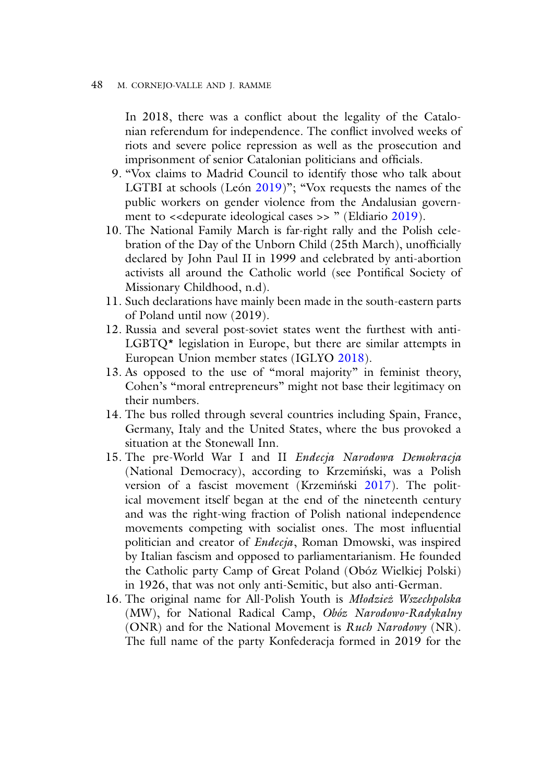In 2018, there was a conflict about the legality of the Catalonian referendum for independence. The conflict involved weeks of riots and severe police repression as well as the prosecution and imprisonment of senior Catalonian politicians and officials.

- 9. "Vox claims to Madrid Council to identify those who talk about LGTBI at schools (León 2019)"; "Vox requests the names of the public workers on gender violence from the Andalusian government to <<depurate ideological cases >> " (Eldiario 2019).
- 10. The National Family March is far-right rally and the Polish celebration of the Day of the Unborn Child (25th March), unofficially declared by John Paul II in 1999 and celebrated by anti-abortion activists all around the Catholic world (see Pontifical Society of Missionary Childhood, n.d).
- 11. Such declarations have mainly been made in the south-eastern parts of Poland until now (2019).
- 12. Russia and several post-soviet states went the furthest with anti-LGBTQ\* legislation in Europe, but there are similar attempts in European Union member states (IGLYO 2018).
- 13. As opposed to the use of "moral majority" in feminist theory, Cohen's "moral entrepreneurs" might not base their legitimacy on their numbers.
- 14. The bus rolled through several countries including Spain, France, Germany, Italy and the United States, where the bus provoked a situation at the Stonewall Inn.
- 15. The pre-World War I and II *Endecja Narodowa Demokracja* (National Democracy), according to Krzemiński, was a Polish version of a fascist movement (Krzemiński 2017). The political movement itself began at the end of the nineteenth century and was the right-wing fraction of Polish national independence movements competing with socialist ones. The most influential politician and creator of *Endecja*, Roman Dmowski, was inspired by Italian fascism and opposed to parliamentarianism. He founded the Catholic party Camp of Great Poland (Obóz Wielkiej Polski) in 1926, that was not only anti-Semitic, but also anti-German.
- 16. The original name for All-Polish Youth is *Młodzie˙z Wszechpolska* (MW), for National Radical Camp, *Obóz Narodowo-Radykalny* (ONR) and for the National Movement is *Ruch Narodowy* (NR). The full name of the party Konfederacja formed in 2019 for the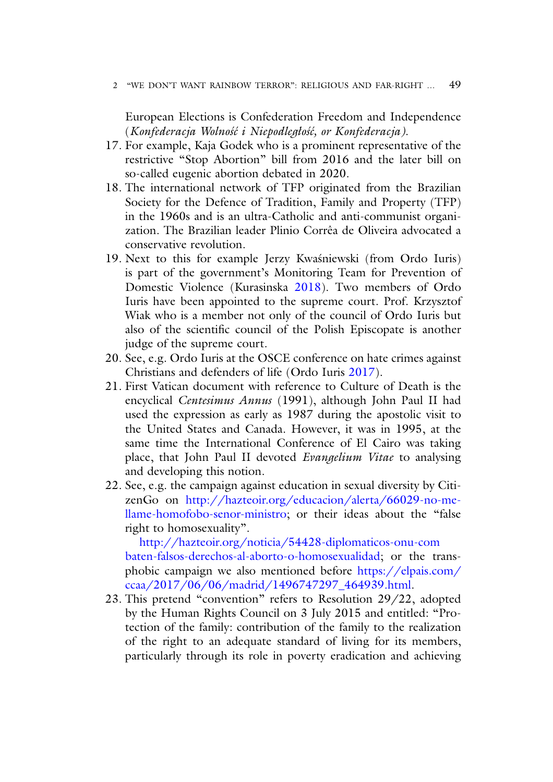European Elections is Confederation Freedom and Independence (*Konfederacja Wolno´s´c i Niepodległo´s´c, or Konfederacja)*.

- 17. For example, Kaja Godek who is a prominent representative of the restrictive "Stop Abortion" bill from 2016 and the later bill on so-called eugenic abortion debated in 2020.
- 18. The international network of TFP originated from the Brazilian Society for the Defence of Tradition, Family and Property (TFP) in the 1960s and is an ultra-Catholic and anti-communist organization. The Brazilian leader Plinio Corrêa de Oliveira advocated a conservative revolution.
- 19. Next to this for example Jerzy Kwa´sniewski (from Ordo Iuris) is part of the government's Monitoring Team for Prevention of Domestic Violence (Kurasinska 2018). Two members of Ordo Iuris have been appointed to the supreme court. Prof. Krzysztof Wiak who is a member not only of the council of Ordo Iuris but also of the scientific council of the Polish Episcopate is another judge of the supreme court.
- 20. See, e.g. Ordo Iuris at the OSCE conference on hate crimes against Christians and defenders of life (Ordo Iuris 2017).
- 21. First Vatican document with reference to Culture of Death is the encyclical *Centesimus Annus* (1991), although John Paul II had used the expression as early as 1987 during the apostolic visit to the United States and Canada. However, it was in 1995, at the same time the International Conference of El Cairo was taking place, that John Paul II devoted *Evangelium Vitae* to analysing and developing this notion.
- 22. See, e.g. the campaign against education in sexual diversity by CitizenGo on http://hazteoir.org/educacion/alerta/66029-no-mellame-homofobo-senor-ministro; or their ideas about the "false right to homosexuality".

http://hazteoir.org/noticia/54428-diplomaticos-onu-com baten-falsos-derechos-al-aborto-o-homosexualidad; or the transphobic campaign we also mentioned before https://elpais.com/ ccaa/2017/06/06/madrid/1496747297\_464939.html.

23. This pretend "convention" refers to Resolution 29/22, adopted by the Human Rights Council on 3 July 2015 and entitled: "Protection of the family: contribution of the family to the realization of the right to an adequate standard of living for its members, particularly through its role in poverty eradication and achieving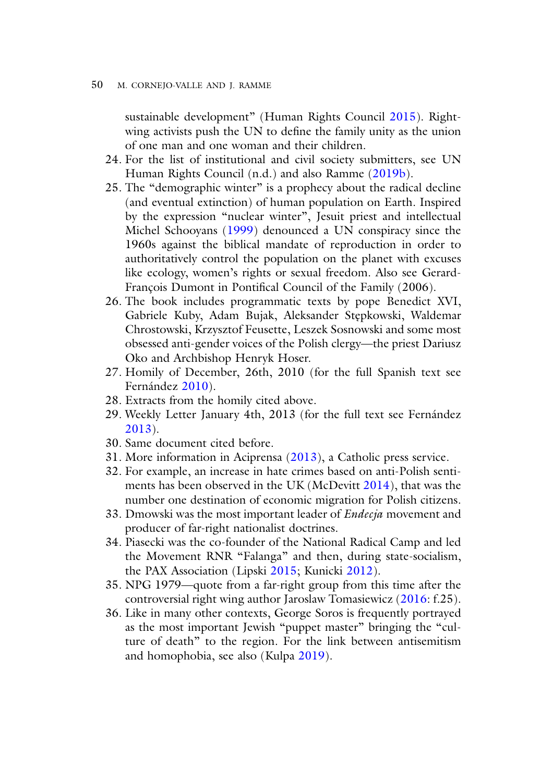#### 50 M. CORNEJO-VALLE AND J. RAMME

sustainable development" (Human Rights Council 2015). Rightwing activists push the UN to define the family unity as the union of one man and one woman and their children.

- 24. For the list of institutional and civil society submitters, see UN Human Rights Council (n.d.) and also Ramme (2019b).
- 25. The "demographic winter" is a prophecy about the radical decline (and eventual extinction) of human population on Earth. Inspired by the expression "nuclear winter", Jesuit priest and intellectual Michel Schooyans (1999) denounced a UN conspiracy since the 1960s against the biblical mandate of reproduction in order to authoritatively control the population on the planet with excuses like ecology, women's rights or sexual freedom. Also see Gerard-François Dumont in Pontifical Council of the Family (2006).
- 26. The book includes programmatic texts by pope Benedict XVI, Gabriele Kuby, Adam Bujak, Aleksander Stępkowski, Waldemar Chrostowski, Krzysztof Feusette, Leszek Sosnowski and some most obsessed anti-gender voices of the Polish clergy—the priest Dariusz Oko and Archbishop Henryk Hoser.
- 27. Homily of December, 26th, 2010 (for the full Spanish text see Fernández 2010).
- 28. Extracts from the homily cited above.
- 29. Weekly Letter January 4th, 2013 (for the full text see Fernández 2013).
- 30. Same document cited before.
- 31. More information in Aciprensa (2013), a Catholic press service.
- 32. For example, an increase in hate crimes based on anti-Polish sentiments has been observed in the UK (McDevitt 2014), that was the number one destination of economic migration for Polish citizens.
- 33. Dmowski was the most important leader of *Endecja* movement and producer of far-right nationalist doctrines.
- 34. Piasecki was the co-founder of the National Radical Camp and led the Movement RNR "Falanga" and then, during state-socialism, the PAX Association (Lipski 2015; Kunicki 2012).
- 35. NPG 1979—quote from a far-right group from this time after the controversial right wing author Jaroslaw Tomasiewicz (2016: f.25).
- 36. Like in many other contexts, George Soros is frequently portrayed as the most important Jewish "puppet master" bringing the "culture of death" to the region. For the link between antisemitism and homophobia, see also (Kulpa 2019).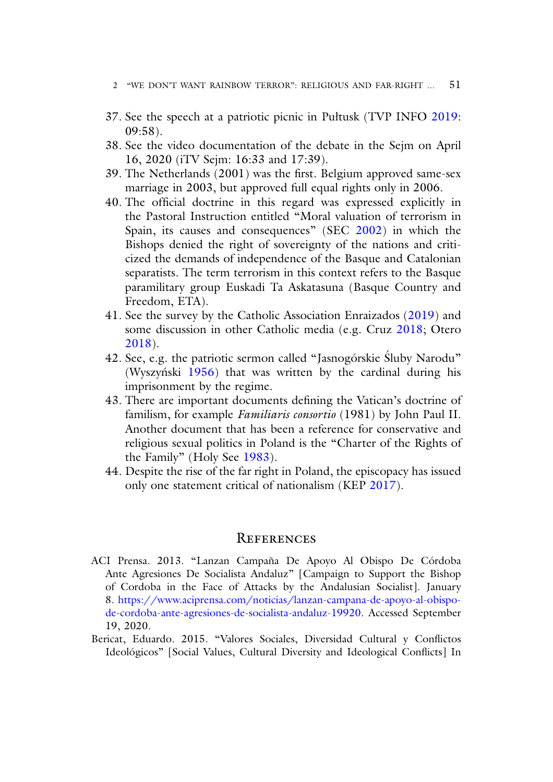- 37. See the speech at a patriotic picnic in Pułtusk (TVP INFO 2019: 09:58).
- 38. See the video documentation of the debate in the Sejm on April 16, 2020 (iTV Sejm: 16:33 and 17:39).
- 39. The Netherlands (2001) was the first. Belgium approved same-sex marriage in 2003, but approved full equal rights only in 2006.
- 40. The official doctrine in this regard was expressed explicitly in the Pastoral Instruction entitled "Moral valuation of terrorism in Spain, its causes and consequences" (SEC 2002) in which the Bishops denied the right of sovereignty of the nations and criticized the demands of independence of the Basque and Catalonian separatists. The term terrorism in this context refers to the Basque paramilitary group Euskadi Ta Askatasuna (Basque Country and Freedom, ETA).
- 41. See the survey by the Catholic Association Enraizados (2019) and some discussion in other Catholic media (e.g. Cruz 2018; Otero 2018).
- 42. See, e.g. the patriotic sermon called "Jasnogórskie Sluby Narodu" ´ (Wyszyński  $1956$ ) that was written by the cardinal during his imprisonment by the regime.
- 43. There are important documents defining the Vatican's doctrine of familism, for example *Familiaris consortio* (1981) by John Paul II. Another document that has been a reference for conservative and religious sexual politics in Poland is the "Charter of the Rights of the Family" (Holy See 1983).
- 44. Despite the rise of the far right in Poland, the episcopacy has issued only one statement critical of nationalism (KEP 2017).

## **REFERENCES**

- ACI Prensa. 2013. "Lanzan Campaña De Apoyo Al Obispo De Córdoba Ante Agresiones De Socialista Andaluz" [Campaign to Support the Bishop of Cordoba in the Face of Attacks by the Andalusian Socialist]. January 8. https://www.aciprensa.com/noticias/lanzan-campana-de-apoyo-al-obispode-cordoba-ante-agresiones-de-socialista-andaluz-19920. Accessed September 19, 2020.
- Bericat, Eduardo. 2015. "Valores Sociales, Diversidad Cultural y Conflictos Ideológicos" [Social Values, Cultural Diversity and Ideological Conflicts] In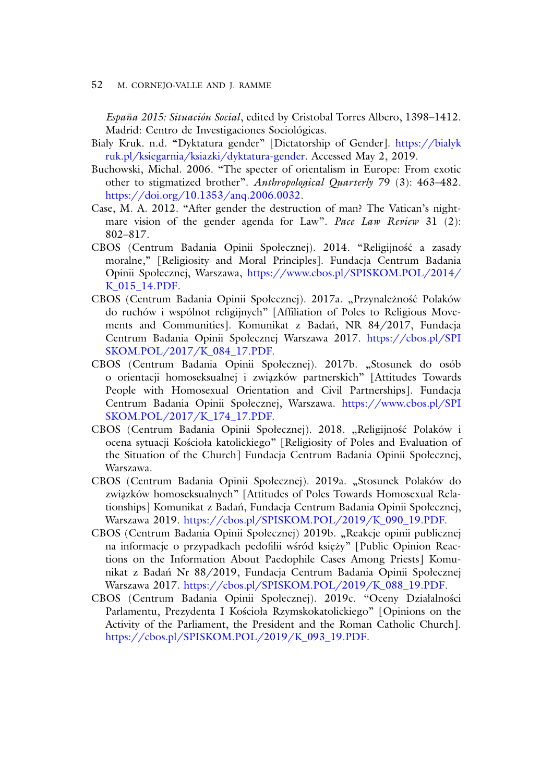52 M. CORNEJO-VALLE AND J. RAMME

*España 2015: Situación Social*, edited by Cristobal Torres Albero, 1398–1412. Madrid: Centro de Investigaciones Sociológicas.

- Biały Kruk. n.d. "Dyktatura gender" [Dictatorship of Gender]. https://bialyk ruk.pl/ksiegarnia/ksiazki/dyktatura-gender. Accessed May 2, 2019.
- Buchowski, Michal. 2006. "The specter of orientalism in Europe: From exotic other to stigmatized brother". *Anthropological Quarterly* 79 (3): 463–482. https://doi.org/10.1353/anq.2006.0032.
- Case, M. A. 2012. "After gender the destruction of man? The Vatican's nightmare vision of the gender agenda for Law". *Pace Law Review* 31 (2): 802–817.
- CBOS (Centrum Badania Opinii Społecznej). 2014. "Religijność a zasady moralne," [Religiosity and Moral Principles]. Fundacja Centrum Badania Opinii Społecznej, Warszawa, https://www.cbos.pl/SPISKOM.POL/2014/ K\_015\_14.PDF.
- CBOS (Centrum Badania Opinii Społecznej). 2017a. "Przynależność Polaków do ruchów i wspólnot religijnych" [Affiliation of Poles to Religious Movements and Communities]. Komunikat z Badań, NR 84/2017, Fundacja Centrum Badania Opinii Społecznej Warszawa 2017. https://cbos.pl/SPI SKOM.POL/2017/K\_084\_17.PDF.
- CBOS (Centrum Badania Opinii Społecznej). 2017b. "Stosunek do osób o orientacji homoseksualnej i związków partnerskich" [Attitudes Towards People with Homosexual Orientation and Civil Partnerships]. Fundacja Centrum Badania Opinii Społecznej, Warszawa. https://www.cbos.pl/SPI SKOM.POL/2017/K\_174\_17.PDF.
- CBOS (Centrum Badania Opinii Społecznej). 2018. "Religijność Polaków i ocena sytuacji Kościoła katolickiego" [Religiosity of Poles and Evaluation of the Situation of the Church] Fundacja Centrum Badania Opinii Społecznej, Warszawa.
- CBOS (Centrum Badania Opinii Społecznej). 2019a. "Stosunek Polaków do związków homoseksualnych" [Attitudes of Poles Towards Homosexual Relationships] Komunikat z Badań, Fundacja Centrum Badania Opinii Społecznej, Warszawa 2019. https://cbos.pl/SPISKOM.POL/2019/K\_090\_19.PDF.
- CBOS (Centrum Badania Opinii Społecznej) 2019b. "Reakcje opinii publicznej na informacje o przypadkach pedofilii wśród księży" [Public Opinion Reactions on the Information About Paedophile Cases Among Priests] Komunikat z Badań Nr 88/2019, Fundacja Centrum Badania Opinii Społecznej Warszawa 2017. https://cbos.pl/SPISKOM.POL/2019/K\_088\_19.PDF.
- CBOS (Centrum Badania Opinii Społecznej). 2019c. "Oceny Działalności Parlamentu, Prezydenta I Kościoła Rzymskokatolickiego" [Opinions on the Activity of the Parliament, the President and the Roman Catholic Church]. https://cbos.pl/SPISKOM.POL/2019/K\_093\_19.PDF.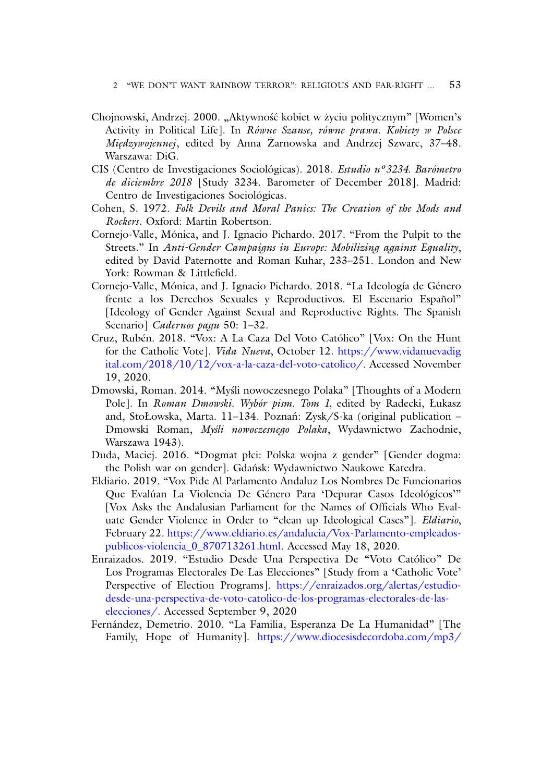- Chojnowski, Andrzej. 2000. "Aktywność kobiet w życiu politycznym" [Women's Activity in Political Life]. In *Równe Szanse, równe prawa. Kobiety w Polsce Mi˛edzywojennej*, edited by Anna Zarnowska and Andrzej Szwarc, 37–48. ˙ Warszawa: DiG.
- CIS (Centro de Investigaciones Sociológicas). 2018. *Estudio nº3234. Barómetro de diciembre 2018* [Study 3234. Barometer of December 2018]. Madrid: Centro de Investigaciones Sociológicas.
- Cohen, S. 1972. *Folk Devils and Moral Panics: The Creation of the Mods and Rockers*. Oxford: Martin Robertson.
- Cornejo-Valle, Mónica, and J. Ignacio Pichardo. 2017. "From the Pulpit to the Streets." In *Anti-Gender Campaigns in Europe: Mobilizing against Equality*, edited by David Paternotte and Roman Kuhar, 233–251. London and New York: Rowman & Littlefield.
- Cornejo-Valle, Mónica, and J. Ignacio Pichardo. 2018. "La Ideología de Género frente a los Derechos Sexuales y Reproductivos. El Escenario Español" [Ideology of Gender Against Sexual and Reproductive Rights. The Spanish Scenario] *Cadernos pagu* 50: 1–32.
- Cruz, Rubén. 2018. "Vox: A La Caza Del Voto Católico" [Vox: On the Hunt for the Catholic Vote]. *Vida Nueva*, October 12. https://www.vidanuevadig ital.com/2018/10/12/vox-a-la-caza-del-voto-catolico/. Accessed November 19, 2020.
- Dmowski, Roman. 2014. "Myśli nowoczesnego Polaka" [Thoughts of a Modern Pole]. In *Roman Dmowski. Wybór pism. Tom 1*, edited by Radecki, Łukasz and, StoŁowska, Marta. 11–134. Poznań: Zysk/S-ka (original publication – Dmowski Roman, *My´sli nowoczesnego Polaka*, Wydawnictwo Zachodnie, Warszawa 1943).
- Duda, Maciej. 2016. "Dogmat płci: Polska wojna z gender" [Gender dogma: the Polish war on gender]. Gdańsk: Wydawnictwo Naukowe Katedra.
- Eldiario. 2019. "Vox Pide Al Parlamento Andaluz Los Nombres De Funcionarios Que Evalúan La Violencia De Género Para 'Depurar Casos Ideológicos'" [Vox Asks the Andalusian Parliament for the Names of Officials Who Evaluate Gender Violence in Order to "clean up Ideological Cases"]. *Eldiario*, February 22. https://www.eldiario.es/andalucia/Vox-Parlamento-empleadospublicos-violencia\_0\_870713261.html. Accessed May 18, 2020.
- Enraizados. 2019. "Estudio Desde Una Perspectiva De "Voto Católico" De Los Programas Electorales De Las Elecciones" [Study from a 'Catholic Vote' Perspective of Election Programs]. https://enraizados.org/alertas/estudiodesde-una-perspectiva-de-voto-catolico-de-los-programas-electorales-de-laselecciones/. Accessed September 9, 2020
- Fernández, Demetrio. 2010. "La Familia, Esperanza De La Humanidad" [The Family, Hope of Humanity]. https://www.diocesisdecordoba.com/mp3/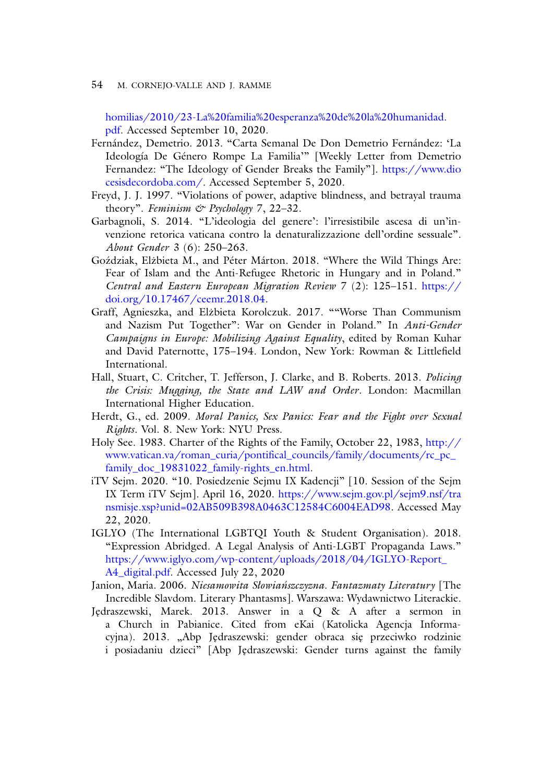#### 54 M. CORNEJO-VALLE AND J. RAMME

homilias/2010/23-La%20familia%20esperanza%20de%20la%20humanidad. pdf. Accessed September 10, 2020.

- Fernández, Demetrio. 2013. "Carta Semanal De Don Demetrio Fernández: 'La Ideología De Género Rompe La Familia'" [Weekly Letter from Demetrio Fernandez: "The Ideology of Gender Breaks the Family"]. https://www.dio cesisdecordoba.com/. Accessed September 5, 2020.
- Freyd, J. J. 1997. "Violations of power, adaptive blindness, and betrayal trauma theory". *Feminism & Psychology* 7, 22–32.
- Garbagnoli, S. 2014. "L'ideologia del genere': l'irresistibile ascesa di un'invenzione retorica vaticana contro la denaturalizzazione dell'ordine sessuale". *About Gender* 3 (6): 250–263.
- Goździak, Elżbieta M., and Péter Márton. 2018. "Where the Wild Things Are: Fear of Islam and the Anti-Refugee Rhetoric in Hungary and in Poland." *Central and Eastern European Migration Review* 7 (2): 125–151. https:// doi.org/10.17467/ceemr.2018.04.
- Graff, Agnieszka, and Elżbieta Korolczuk. 2017. ""Worse Than Communism and Nazism Put Together": War on Gender in Poland." In *Anti-Gender Campaigns in Europe: Mobilizing Against Equality*, edited by Roman Kuhar and David Paternotte, 175–194. London, New York: Rowman & Littlefield International.
- Hall, Stuart, C. Critcher, T. Jefferson, J. Clarke, and B. Roberts. 2013. *Policing the Crisis: Mugging, the State and LAW and Order*. London: Macmillan International Higher Education.
- Herdt, G., ed. 2009. *Moral Panics, Sex Panics: Fear and the Fight over Sexual Rights*. Vol. 8. New York: NYU Press.
- Holy See. 1983. Charter of the Rights of the Family, October 22, 1983, http:// www.vatican.va/roman\_curia/pontifical\_councils/family/documents/rc\_pc\_ family doc 19831022 family-rights en.html.
- iTV Sejm. 2020. "10. Posiedzenie Sejmu IX Kadencji" [10. Session of the Sejm IX Term iTV Sejm]. April 16, 2020. https://www.sejm.gov.pl/sejm9.nsf/tra nsmisje.xsp?unid=02AB509B398A0463C12584C6004EAD98. Accessed May 22, 2020.
- IGLYO (The International LGBTQI Youth & Student Organisation). 2018. "Expression Abridged. A Legal Analysis of Anti-LGBT Propaganda Laws." https://www.iglyo.com/wp-content/uploads/2018/04/IGLYO-Report\_ A4\_digital.pdf. Accessed July 22, 2020
- Janion, Maria. 2006. *Niesamowita Słowiańszczyzna. Fantazmaty Literatury* [The Incredible Slavdom. Literary Phantasms]. Warszawa: Wydawnictwo Literackie.
- Jędraszewski, Marek. 2013. Answer in a Q & A after a sermon in a Church in Pabianice. Cited from eKai (Katolicka Agencja Informacyjna). 2013. "Abp Jędraszewski: gender obraca się przeciwko rodzinie i posiadaniu dzieci" [Abp Jędraszewski: Gender turns against the family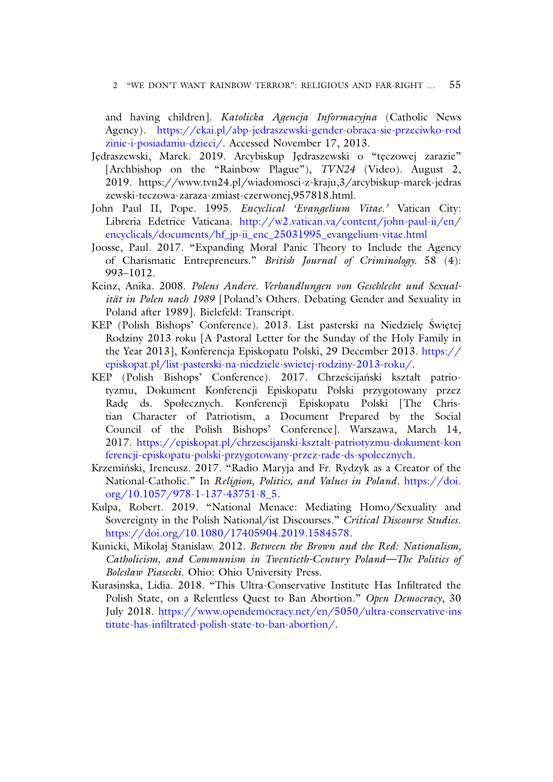and having children]. *Katolicka Agencja Informacyjna* (Catholic News Agency)*.* https://ekai.pl/abp-jedraszewski-gender-obraca-sie-przeciwko-rod zinie-i-posiadaniu-dzieci/. Accessed November 17, 2013.

- Jędraszewski, Marek. 2019. Arcybiskup Jędraszewski o "tęczowej zarazie" [Archbishop on the "Rainbow Plague"), *TVN24* (Video). August 2, 2019. https://www.tvn24.pl/wiadomosci-z-kraju,3/arcybiskup-marek-jedras zewski-teczowa-zaraza-zmiast-czerwonej,957818.html.
- John Paul II, Pope. 1995. *Encyclical 'Evangelium Vitae.'* Vatican City: Libreria Edetrice Vaticana. http://w2.vatican.va/content/john-paul-ii/en/ encyclicals/documents/hf\_jp-ii\_enc\_25031995\_evangelium-vitae.html
- Joosse, Paul. 2017. "Expanding Moral Panic Theory to Include the Agency of Charismatic Entrepreneurs." *British Journal of Criminology.* 58 (4): 993–1012.
- Keinz, Anika. 2008. *Polens Andere. Verhandlungen von Geschlecht und Sexualität in Polen nach 1989* [Poland's Others. Debating Gender and Sexuality in Poland after 1989]. Bielefeld: Transcript.
- KEP (Polish Bishops' Conference). 2013. List pasterski na Niedzielę Świętej Rodziny 2013 roku [A Pastoral Letter for the Sunday of the Holy Family in the Year 2013], Konferencja Episkopatu Polski, 29 December 2013. https:// episkopat.pl/list-pasterski-na-niedziele-swietej-rodziny-2013-roku/.
- KEP (Polish Bishops' Conference). 2017. Chrześcijański kształt patriotyzmu, Dokument Konferencji Episkopatu Polski przygotowany przez Radę ds. Społecznych. Konferencji Episkopatu Polski [The Christian Character of Patriotism, a Document Prepared by the Social Council of the Polish Bishops' Conference]. Warszawa, March 14, 2017. https://episkopat.pl/chrzescijanski-ksztalt-patriotyzmu-dokument-kon ferencji-episkopatu-polski-przygotowany-przez-rade-ds-spolecznych.
- Krzemiński, Ireneusz. 2017. "Radio Maryja and Fr. Rydzyk as a Creator of the National-Catholic." In *Religion, Politics, and Values in Poland*. https://doi. org/10.1057/978-1-137-43751-8\_5.
- Kulpa, Robert. 2019. "National Menace: Mediating Homo/Sexuality and Sovereignty in the Polish National/ist Discourses." *Critical Discourse Studies*. https://doi.org/10.1080/17405904.2019.1584578.
- Kunicki, Mikolaj Stanislaw. 2012. *Between the Brown and the Red: Nationalism, Catholicism, and Communism in Twentieth-Century Poland—The Politics of Boleslaw Piasecki*. Ohio: Ohio University Press.
- Kurasinska, Lidia. 2018. "This Ultra-Conservative Institute Has Infiltrated the Polish State, on a Relentless Quest to Ban Abortion." *Open Democracy*, 30 July 2018. https://www.opendemocracy.net/en/5050/ultra-conservative-ins titute-has-infiltrated-polish-state-to-ban-abortion/.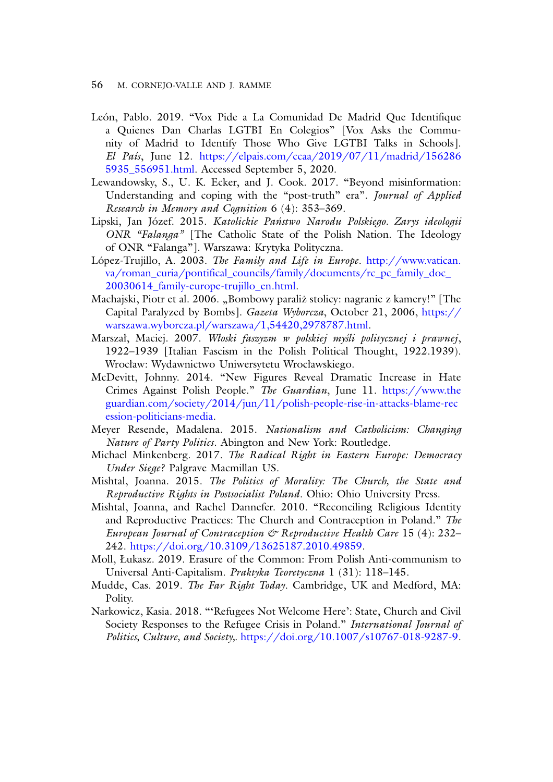- León, Pablo. 2019. "Vox Pide a La Comunidad De Madrid Que Identifique a Quienes Dan Charlas LGTBI En Colegios" [Vox Asks the Community of Madrid to Identify Those Who Give LGTBI Talks in Schools]. *El País*, June 12. https://elpais.com/ccaa/2019/07/11/madrid/156286 5935\_556951.html. Accessed September 5, 2020.
- Lewandowsky, S., U. K. Ecker, and J. Cook. 2017. "Beyond misinformation: Understanding and coping with the "post-truth" era". *Journal of Applied Research in Memory and Cognition* 6 (4): 353–369.
- Lipski, Jan Józef. 2015. *Katolickie Pa ´nstwo Narodu Polskiego. Zarys ideologii ONR "Falanga"* [The Catholic State of the Polish Nation. The Ideology of ONR "Falanga"]. Warszawa: Krytyka Polityczna.
- López-Trujillo, A. 2003. *The Family and Life in Europe*. http://www.vatican. va/roman\_curia/pontifical\_councils/family/documents/rc\_pc\_family\_doc\_ 20030614\_family-europe-trujillo\_en.html.
- Machajski, Piotr et al. 2006. "Bombowy paraliż stolicy: nagranie z kamery!" [The Capital Paralyzed by Bombs]. *Gazeta Wyborcza*, October 21, 2006, https:// warszawa.wyborcza.pl/warszawa/1,54420,2978787.html.
- Marszał, Maciej. 2007. *Włoski faszyzm w polskiej my´sli politycznej i prawnej*, 1922–1939 [Italian Fascism in the Polish Political Thought, 1922.1939). Wrocław: Wydawnictwo Uniwersytetu Wrocławskiego.
- McDevitt, Johnny. 2014. "New Figures Reveal Dramatic Increase in Hate Crimes Against Polish People." *The Guardian*, June 11. https://www.the guardian.com/society/2014/jun/11/polish-people-rise-in-attacks-blame-rec ession-politicians-media.
- Meyer Resende, Madalena. 2015. *Nationalism and Catholicism: Changing Nature of Party Politics*. Abington and New York: Routledge.
- Michael Minkenberg. 2017. *The Radical Right in Eastern Europe: Democracy Under Siege?* Palgrave Macmillan US.
- Mishtal, Joanna. 2015. *The Politics of Morality: The Church, the State and Reproductive Rights in Postsocialist Poland*. Ohio: Ohio University Press.
- Mishtal, Joanna, and Rachel Dannefer. 2010. "Reconciling Religious Identity and Reproductive Practices: The Church and Contraception in Poland." *The European Journal of Contraception & Reproductive Health Care* 15 (4): 232– 242. https://doi.org/10.3109/13625187.2010.49859.
- Moll, Łukasz. 2019. Erasure of the Common: From Polish Anti-communism to Universal Anti-Capitalism. *Praktyka Teoretyczna* 1 (31): 118–145.
- Mudde, Cas. 2019. *The Far Right Today*. Cambridge, UK and Medford, MA: Polity.
- Narkowicz, Kasia. 2018. "'Refugees Not Welcome Here': State, Church and Civil Society Responses to the Refugee Crisis in Poland." *International Journal of Politics, Culture, and Society,*. https://doi.org/10.1007/s10767-018-9287-9.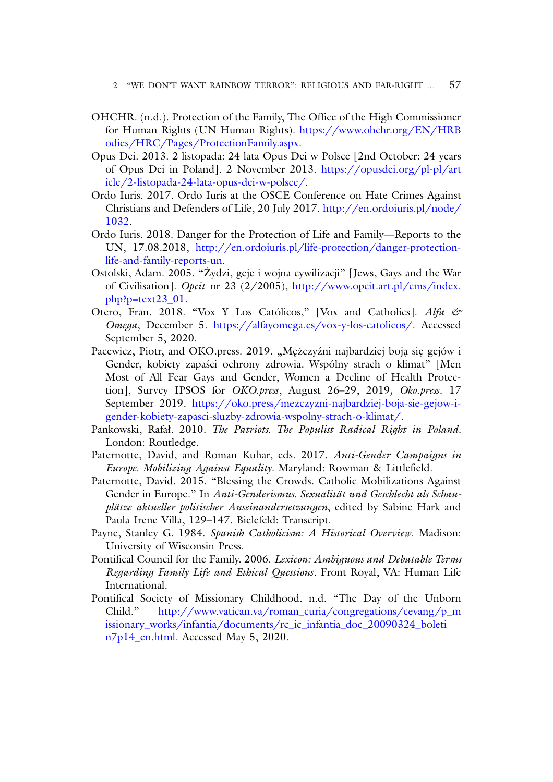- OHCHR. (n.d.). Protection of the Family, The Office of the High Commissioner for Human Rights (UN Human Rights). https://www.ohchr.org/EN/HRB odies/HRC/Pages/ProtectionFamily.aspx.
- Opus Dei. 2013. 2 listopada: 24 lata Opus Dei w Polsce [2nd October: 24 years of Opus Dei in Poland]. 2 November 2013. https://opusdei.org/pl-pl/art icle/2-listopada-24-lata-opus-dei-w-polsce/.
- Ordo Iuris. 2017. Ordo Iuris at the OSCE Conference on Hate Crimes Against Christians and Defenders of Life, 20 July 2017. http://en.ordoiuris.pl/node/ 1032.
- Ordo Iuris. 2018. Danger for the Protection of Life and Family—Reports to the UN, 17.08.2018, http://en.ordoiuris.pl/life-protection/danger-protectionlife-and-family-reports-un.
- Ostolski, Adam. 2005. "Zydzi, geje i wojna cywilizacji" [Jews, Gays and the War ˙ of Civilisation]. *Opcit* nr 23 (2/2005), http://www.opcit.art.pl/cms/index. php?p=text23\_01.
- Otero, Fran. 2018. "Vox Y Los Católicos," [Vox and Catholics]. *Alfa & Omega*, December 5. https://alfayomega.es/vox-y-los-catolicos/. Accessed September 5, 2020.
- Pacewicz, Piotr, and OKO.press. 2019. "Mężczyźni najbardziej boją się gejów i Gender, kobiety zapaści ochrony zdrowia. Wspólny strach o klimat" [Men Most of All Fear Gays and Gender, Women a Decline of Health Protection], Survey IPSOS for *OKO.press*, August 26–29, 2019*, Oko.press*. 17 September 2019. https://oko.press/mezczyzni-najbardziej-boja-sie-gejow-igender-kobiety-zapasci-sluzby-zdrowia-wspolny-strach-o-klimat/.
- Pankowski, Rafał. 2010*. The Patriots. The Populist Radical Right in Poland.* London: Routledge.
- Paternotte, David, and Roman Kuhar, eds. 2017. *Anti-Gender Campaigns in Europe. Mobilizing Against Equality*. Maryland: Rowman & Littlefield.
- Paternotte, David. 2015. "Blessing the Crowds. Catholic Mobilizations Against Gender in Europe." In *Anti-Genderismus. Sexualität und Geschlecht als Schauplätze aktueller politischer Auseinandersetzungen*, edited by Sabine Hark and Paula Irene Villa, 129–147. Bielefeld: Transcript.
- Payne, Stanley G. 1984. *Spanish Catholicism: A Historical Overview*. Madison: University of Wisconsin Press.
- Pontifical Council for the Family. 2006. *Lexicon: Ambiguous and Debatable Terms Regarding Family Life and Ethical Questions*. Front Royal, VA: Human Life International.
- Pontifical Society of Missionary Childhood. n.d. "The Day of the Unborn Child." http://www.vatican.va/roman\_curia/congregations/cevang/p\_m issionary\_works/infantia/documents/rc\_ic\_infantia\_doc\_20090324\_boleti n7p14\_en.html. Accessed May 5, 2020.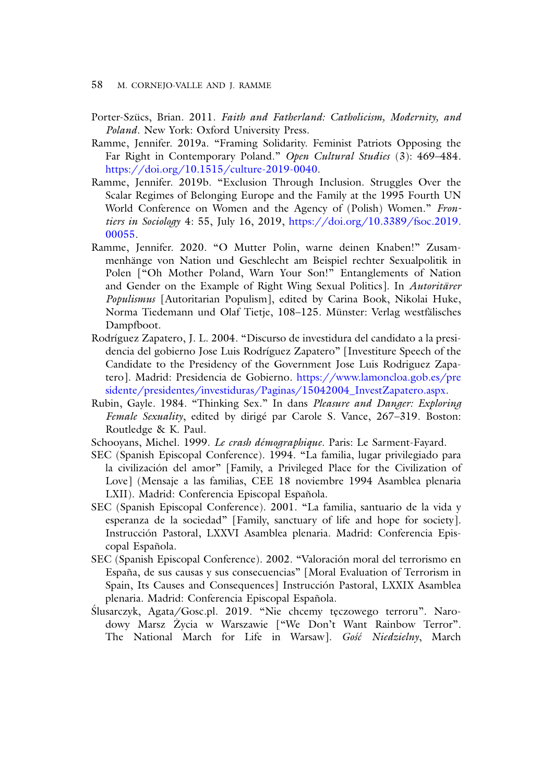- Porter-Szücs, Brian. 2011. *Faith and Fatherland: Catholicism, Modernity, and Poland*. New York: Oxford University Press.
- Ramme, Jennifer. 2019a. "Framing Solidarity. Feminist Patriots Opposing the Far Right in Contemporary Poland." *Open Cultural Studies* (3): 469–484. https://doi.org/10.1515/culture-2019-0040.
- Ramme, Jennifer. 2019b. "Exclusion Through Inclusion. Struggles Over the Scalar Regimes of Belonging Europe and the Family at the 1995 Fourth UN World Conference on Women and the Agency of (Polish) Women." *Frontiers in Sociology* 4: 55, July 16, 2019, https://doi.org/10.3389/fsoc.2019. 00055.
- Ramme, Jennifer. 2020. "O Mutter Polin, warne deinen Knaben!" Zusammenhänge von Nation und Geschlecht am Beispiel rechter Sexualpolitik in Polen ["Oh Mother Poland, Warn Your Son!" Entanglements of Nation and Gender on the Example of Right Wing Sexual Politics]. In *Autoritärer Populismus* [Autoritarian Populism], edited by Carina Book, Nikolai Huke, Norma Tiedemann und Olaf Tietje, 108–125. Münster: Verlag westfälisches Dampfboot.
- Rodríguez Zapatero, J. L. 2004. "Discurso de investidura del candidato a la presidencia del gobierno Jose Luis Rodríguez Zapatero" [Investiture Speech of the Candidate to the Presidency of the Government Jose Luis Rodriguez Zapatero]. Madrid: Presidencia de Gobierno. https://www.lamoncloa.gob.es/pre sidente/presidentes/investiduras/Paginas/15042004\_InvestZapatero.aspx.
- Rubin, Gayle. 1984. "Thinking Sex." In dans *Pleasure and Danger: Exploring Female Sexuality*, edited by dirigé par Carole S. Vance, 267–319. Boston: Routledge & K. Paul.
- Schooyans, Michel. 1999. *Le crash démographique*. Paris: Le Sarment-Fayard.
- SEC (Spanish Episcopal Conference). 1994. "La familia, lugar privilegiado para la civilización del amor" [Family, a Privileged Place for the Civilization of Love] (Mensaje a las familias, CEE 18 noviembre 1994 Asamblea plenaria LXII). Madrid: Conferencia Episcopal Española.
- SEC (Spanish Episcopal Conference). 2001. "La familia, santuario de la vida y esperanza de la sociedad" [Family, sanctuary of life and hope for society]. Instrucción Pastoral, LXXVI Asamblea plenaria. Madrid: Conferencia Episcopal Española.
- SEC (Spanish Episcopal Conference). 2002. "Valoración moral del terrorismo en España, de sus causas y sus consecuencias" [Moral Evaluation of Terrorism in Spain, Its Causes and Consequences] Instrucción Pastoral, LXXIX Asamblea plenaria. Madrid: Conferencia Episcopal Española.
- Ślusarczyk, Agata/Gosc.pl. 2019. "Nie chcemy tęczowego terroru". Narodowy Marsz Życia w Warszawie ["We Don't Want Rainbow Terror". The National March for Life in Warsaw]. *Gość Niedzielny*, March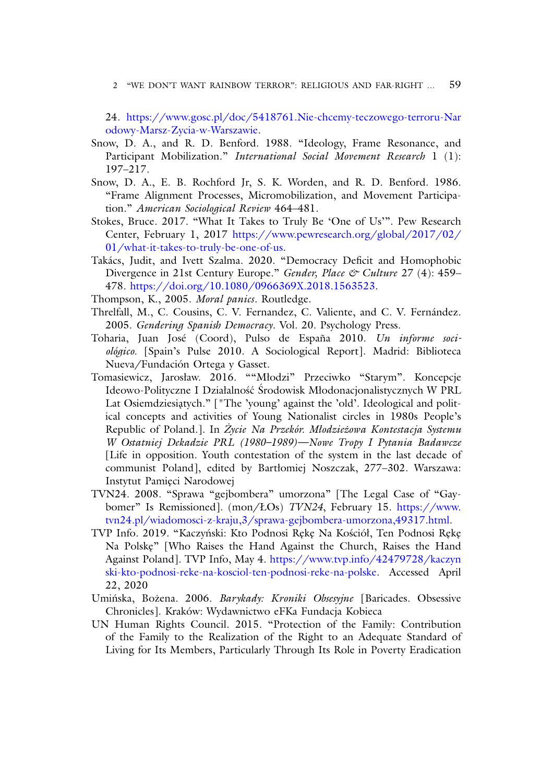24. https://www.gosc.pl/doc/5418761.Nie-chcemy-teczowego-terroru-Nar odowy-Marsz-Zycia-w-Warszawie.

- Snow, D. A., and R. D. Benford. 1988. "Ideology, Frame Resonance, and Participant Mobilization." *International Social Movement Research* 1 (1): 197–217.
- Snow, D. A., E. B. Rochford Jr, S. K. Worden, and R. D. Benford. 1986. "Frame Alignment Processes, Micromobilization, and Movement Participation." *American Sociological Review* 464–481.
- Stokes, Bruce. 2017. "What It Takes to Truly Be 'One of Us'". Pew Research Center, February 1, 2017 https://www.pewresearch.org/global/2017/02/ 01/what-it-takes-to-truly-be-one-of-us.
- Takács, Judit, and Ivett Szalma. 2020. "Democracy Deficit and Homophobic Divergence in 21st Century Europe." *Gender, Place & Culture* 27 (4): 459– 478. https://doi.org/10.1080/0966369X.2018.1563523.
- Thompson, K., 2005. *Moral panics*. Routledge.
- Threlfall, M., C. Cousins, C. V. Fernandez, C. Valiente, and C. V. Fernández. 2005. *Gendering Spanish Democracy*. Vol. 20. Psychology Press.
- Toharia, Juan José (Coord), Pulso de España 2010. *Un informe sociológico*. [Spain's Pulse 2010. A Sociological Report]. Madrid: Biblioteca Nueva/Fundación Ortega y Gasset.
- Tomasiewicz, Jarosław. 2016. ""Młodzi" Przeciwko "Starym". Koncepcje Ideowo-Polityczne I Działalność Środowisk Młodonacjonalistycznych W PRL Lat Osiemdziesiątych." ["The 'young' against the 'old'. Ideological and political concepts and activities of Young Nationalist circles in 1980s People's Republic of Poland.]. In *Zycie Na Przekór. M ˙ łodzie˙zowa Kontestacja Systemu W Ostatniej Dekadzie PRL (1980–1989)—Nowe Tropy I Pytania Badawcze* [Life in opposition. Youth contestation of the system in the last decade of communist Poland], edited by Bartłomiej Noszczak, 277–302. Warszawa: Instytut Pamięci Narodowej
- TVN24. 2008. "Sprawa "gejbombera" umorzona" [The Legal Case of "Gaybomer" Is Remissioned]. (mon/ŁOs) *TVN24*, February 15. https://www. tvn24.pl/wiadomosci-z-kraju,3/sprawa-gejbombera-umorzona,49317.html.
- TVP Info. 2019. "Kaczyński: Kto Podnosi Rękę Na Kościół, Ten Podnosi Rękę Na Polskę" [Who Raises the Hand Against the Church, Raises the Hand Against Poland]. TVP Info, May 4. https://www.tvp.info/42479728/kaczyn ski-kto-podnosi-reke-na-kosciol-ten-podnosi-reke-na-polske. Accessed April 22, 2020
- Umińska, Bożena. 2006. *Barykady: Kroniki Obsesyjne* [Baricades. Obsessive Chronicles]. Kraków: Wydawnictwo eFKa Fundacja Kobieca
- UN Human Rights Council. 2015. "Protection of the Family: Contribution of the Family to the Realization of the Right to an Adequate Standard of Living for Its Members, Particularly Through Its Role in Poverty Eradication